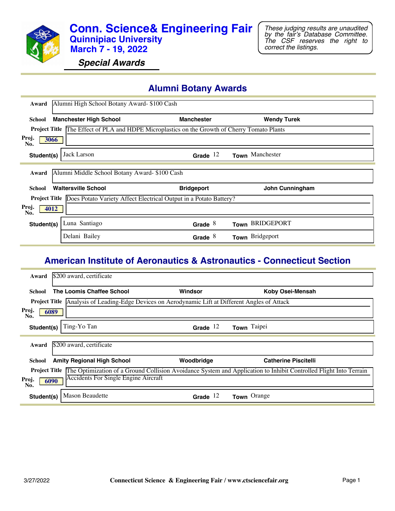

*Special Awards*

#### **Alumni Botany Awards**

| Award                | Alumni High School Botany Award- \$100 Cash                                            |                   |                    |
|----------------------|----------------------------------------------------------------------------------------|-------------------|--------------------|
|                      |                                                                                        |                   |                    |
| <b>School</b>        | <b>Manchester High School</b>                                                          | <b>Manchester</b> | <b>Wendy Turek</b> |
| <b>Project Title</b> | The Effect of PLA and HDPE Microplastics on the Growth of Cherry Tomato Plants         |                   |                    |
| Proj.<br>3066<br>No. |                                                                                        |                   |                    |
| Student(s)           | Jack Larson                                                                            | Grade $12$        | Town Manchester    |
|                      |                                                                                        |                   |                    |
| Award                | Alumni Middle School Botany Award- \$100 Cash                                          |                   |                    |
| School               | <b>Waltersville School</b>                                                             | <b>Bridgeport</b> | John Cunningham    |
|                      | <b>Project Title</b> Does Potato Variety Affect Electrical Output in a Potato Battery? |                   |                    |
| Proj.<br>4012<br>No. |                                                                                        |                   |                    |
| Student(s)           | Luna Santiago                                                                          | Grade $8$         | Town BRIDGEPORT    |
|                      | Delani Bailey                                                                          | Grade $8$         | Town Bridgeport    |

#### **American Institute of Aeronautics & Astronautics - Connecticut Section**

| Award                | \$200 award, certificate                                                           |            |                                                                                                                   |
|----------------------|------------------------------------------------------------------------------------|------------|-------------------------------------------------------------------------------------------------------------------|
| School               | The Loomis Chaffee School                                                          | Windsor    | Koby Osei-Mensah                                                                                                  |
| <b>Project Title</b> | Analysis of Leading-Edge Devices on Aerodynamic Lift at Different Angles of Attack |            |                                                                                                                   |
| Proj.<br>No.         | 6089                                                                               |            |                                                                                                                   |
| Student(s)           | Ting-Yo Tan                                                                        | Grade $12$ | Town Taipei                                                                                                       |
|                      |                                                                                    |            |                                                                                                                   |
| Award                | \$200 award, certificate                                                           |            |                                                                                                                   |
| School               | <b>Amity Regional High School</b>                                                  | Woodbridge | <b>Catherine Piscitelli</b>                                                                                       |
| <b>Project Title</b> |                                                                                    |            | The Optimization of a Ground Collision Avoidance System and Application to Inhibit Controlled Flight Into Terrain |
| Proj.<br>No.         | Accidents For Single Engine Aircraft<br>6090                                       |            |                                                                                                                   |
| Student(s)           | <b>Mason Beaudette</b>                                                             | Grade $12$ | Town Orange                                                                                                       |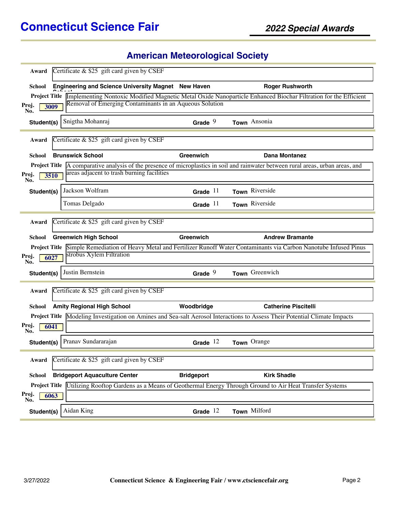# **American Meteorological Society**

|                      | Certificate $\&$ \$25 gift card given by CSEF           |                   |                                                                                                                                                       |
|----------------------|---------------------------------------------------------|-------------------|-------------------------------------------------------------------------------------------------------------------------------------------------------|
| <b>School</b>        | Engineering and Science University Magnet New Haven     |                   | <b>Roger Rushworth</b>                                                                                                                                |
|                      |                                                         |                   | Project Title Implementing Nontoxic Modified Magnetic Metal Oxide Nanoparticle Enhanced Biochar Filtration for the Efficient                          |
| Proj.<br>3009<br>No. | Removal of Emerging Contaminants in an Aqueous Solution |                   |                                                                                                                                                       |
| Student(s)           | Snigtha Mohanraj                                        | Grade $9$         | Town Ansonia                                                                                                                                          |
| Award                | Certificate & \$25 gift card given by CSEF              |                   |                                                                                                                                                       |
| School               | <b>Brunswick School</b>                                 | Greenwich         | <b>Dana Montanez</b>                                                                                                                                  |
|                      |                                                         |                   | <b>Project Title</b> $\overline{A}$ comparative analysis of the presence of microplastics in soil and rainwater between rural areas, urban areas, and |
| Proj.<br>3510<br>No. | areas adjacent to trash burning facilities              |                   |                                                                                                                                                       |
| Student(s)           | Jackson Wolfram                                         | Grade $11$        | Town Riverside                                                                                                                                        |
|                      | Tomas Delgado                                           | Grade $11$        | Town Riverside                                                                                                                                        |
|                      |                                                         |                   |                                                                                                                                                       |
| Award                | Certificate $&$ \$25 gift card given by CSEF            |                   |                                                                                                                                                       |
| <b>School</b>        | <b>Greenwich High School</b>                            | Greenwich         | <b>Andrew Bramante</b>                                                                                                                                |
|                      |                                                         |                   | Project Title Simple Remediation of Heavy Metal and Fertilizer Runoff Water Contaminants via Carbon Nanotube Infused Pinus                            |
| Proj.<br>6027<br>No. | strobus Xylem Filtration                                |                   |                                                                                                                                                       |
| Student(s)           |                                                         |                   |                                                                                                                                                       |
|                      | Justin Bernstein                                        | Grade $9$         | Town Greenwich                                                                                                                                        |
| Award                | Certificate & \$25 gift card given by CSEF              |                   |                                                                                                                                                       |
| School               | <b>Amity Regional High School</b>                       | Woodbridge        | <b>Catherine Piscitelli</b>                                                                                                                           |
|                      |                                                         |                   | <b>Project Title</b> Modeling Investigation on Amines and Sea-salt Aerosol Interactions to Assess Their Potential Climate Impacts                     |
| Proj.<br>6041<br>No. |                                                         |                   |                                                                                                                                                       |
| Student(s)           | Pranav Sundararajan                                     | Grade $12$        | Town Orange                                                                                                                                           |
| Award                | Certificate $\&$ \$25 gift card given by CSEF           |                   |                                                                                                                                                       |
| <b>School</b>        | <b>Bridgeport Aquaculture Center</b>                    | <b>Bridgeport</b> | <b>Kirk Shadle</b>                                                                                                                                    |
|                      |                                                         |                   | <b>Project Title</b> Utilizing Rooftop Gardens as a Means of Geothermal Energy Through Ground to Air Heat Transfer Systems                            |
| Proj.<br>6063<br>No. |                                                         |                   |                                                                                                                                                       |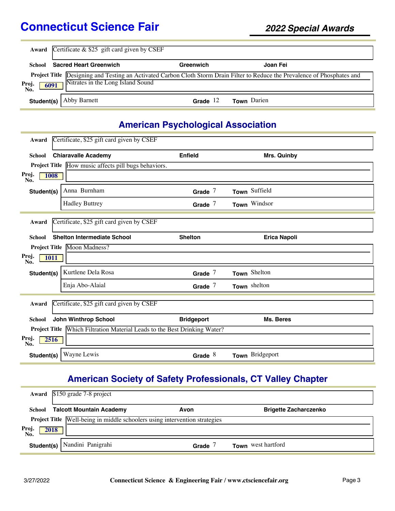|                      | <b>Award</b> Certificate $\&$ \$25 gift card given by CSEF                                                                                                       |            |                    |  |  |
|----------------------|------------------------------------------------------------------------------------------------------------------------------------------------------------------|------------|--------------------|--|--|
| School               | <b>Sacred Heart Greenwich</b>                                                                                                                                    | Greenwich  | Joan Fei           |  |  |
| Proj.<br>No.<br>6091 | Project Title Designing and Testing an Activated Carbon Cloth Storm Drain Filter to Reduce the Prevalence of Phosphates and<br>Nitrates in the Long Island Sound |            |                    |  |  |
|                      | <b>Student(s)</b>   Abby Barnett                                                                                                                                 | Grade $12$ | <b>Town</b> Darien |  |  |

## **American Psychological Association**

| Award                       | Certificate, \$25 gift card given by CSEF                   |                   |                     |  |
|-----------------------------|-------------------------------------------------------------|-------------------|---------------------|--|
| <b>School</b>               | <b>Chiaravalle Academy</b>                                  | <b>Enfield</b>    | Mrs. Quinby         |  |
|                             | <b>Project Title</b> How music affects pill bugs behaviors. |                   |                     |  |
| Proj.<br><b>1008</b><br>No. |                                                             |                   |                     |  |
| Student(s)                  | Anna Burnham                                                | Grade $7$         | Town Suffield       |  |
|                             | <b>Hadley Buttrey</b>                                       | Grade $7$         | Town Windsor        |  |
| Award                       | Certificate, \$25 gift card given by CSEF                   |                   |                     |  |
| <b>School</b>               | <b>Shelton Intermediate School</b>                          | <b>Shelton</b>    | <b>Erica Napoli</b> |  |
|                             | Project Title Moon Madness?                                 |                   |                     |  |
|                             |                                                             |                   |                     |  |
| Proj.<br><b>1011</b><br>No. |                                                             |                   |                     |  |
| Student(s)                  | Kurtlene Dela Rosa                                          | Grade $7$         | Town Shelton        |  |
|                             | Enja Abo-Alaial                                             | Grade $7$         | Town shelton        |  |
|                             |                                                             |                   |                     |  |
| Award                       | Certificate, \$25 gift card given by CSEF                   |                   |                     |  |
| <b>School</b>               | <b>John Winthrop School</b>                                 | <b>Bridgeport</b> | Ms. Beres           |  |
| <b>Project Title</b>        | Which Filtration Material Leads to the Best Drinking Water? |                   |                     |  |
| Proj.<br>2516<br>No.        |                                                             |                   |                     |  |

# **American Society of Safety Professionals, CT Valley Chapter**

|                     | Award \$150 grade 7-8 project                                                     |       |                              |  |
|---------------------|-----------------------------------------------------------------------------------|-------|------------------------------|--|
| School              | <b>Talcott Mountain Academy</b>                                                   | Avon  | <b>Brigette Zacharczenko</b> |  |
|                     | <b>Project Title</b> Well-being in middle schoolers using intervention strategies |       |                              |  |
| Proj<br>2018<br>No. |                                                                                   |       |                              |  |
| Student(s)          | Nandini Panigrahi                                                                 | Grade | Town west hartford           |  |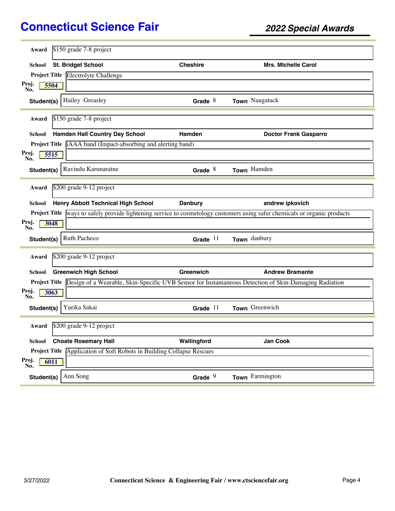| \$150 grade 7-8 project<br>Award                                                                                           |                 |                              |
|----------------------------------------------------------------------------------------------------------------------------|-----------------|------------------------------|
|                                                                                                                            |                 |                              |
| <b>St. Bridget School</b><br>School                                                                                        | <b>Cheshire</b> | <b>Mrs. Michelle Carol</b>   |
| Project Title Electrolyte Challenge                                                                                        |                 |                              |
| Proj.<br>5504<br>No.                                                                                                       |                 |                              |
| Hailey Greasley<br>Student(s)                                                                                              | Grade $8$       | Town Naugatuck               |
| \$150 grade 7-8 project<br>Award                                                                                           |                 |                              |
| <b>Hamden Hall Country Day School</b><br>School                                                                            | Hamden          | <b>Doctor Frank Gasparro</b> |
| <b>Project Title iAAA</b> band (Impact-absorbing and alerting band)                                                        |                 |                              |
| Proj.<br>5515<br>No.                                                                                                       |                 |                              |
| Ravindu Karunaratne<br>Student(s)                                                                                          | Grade $8$       | Town Hamden                  |
| \$200 grade 9-12 project<br>Award                                                                                          |                 |                              |
| <b>Henry Abbott Technical High School</b><br>School                                                                        | <b>Danbury</b>  | andrew ipkovich              |
|                                                                                                                            |                 |                              |
| Project Title ways to safely provide lightening service to cosmetology customers using safer chemicals or organic products |                 |                              |
| Proj.<br>3048<br>No.                                                                                                       |                 |                              |
| Ruth Pacheco<br>Student(s)                                                                                                 | Grade $11$      | Town danbury                 |
| \$200 grade 9-12 project<br>Award                                                                                          |                 |                              |
| <b>Greenwich High School</b><br>School                                                                                     | Greenwich       | <b>Andrew Bramante</b>       |
| Project Title Design of a Wearable, Skin-Specific UVB Sensor for Instantaneous Detection of Skin-Damaging Radiation        |                 |                              |
| Proj.<br>3063<br>No.                                                                                                       |                 |                              |
| Yurika Sakai<br>Student(s)                                                                                                 | Grade $11$      | Town Greenwich               |
| \$200 grade 9-12 project<br>Award                                                                                          |                 |                              |
| <b>Choate Rosemary Hall</b><br><b>School</b>                                                                               | Wallingford     | Jan Cook                     |
| Project Title Application of Soft Robots in Building Collapse Rescues                                                      |                 |                              |
| Proj.<br>6011<br>No.                                                                                                       |                 |                              |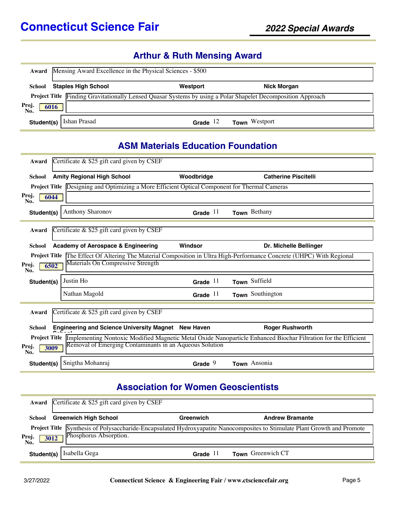## **Arthur & Ruth Mensing Award**

| Award                | Mensing Award Excellence in the Physical Sciences - \$500 |            |                                                                                                              |  |  |
|----------------------|-----------------------------------------------------------|------------|--------------------------------------------------------------------------------------------------------------|--|--|
| School               | <b>Staples High School</b>                                | Westport   | <b>Nick Morgan</b>                                                                                           |  |  |
|                      |                                                           |            | Project Title Finding Gravitationally Lensed Quasar Systems by using a Polar Shapelet Decomposition Approach |  |  |
| Proj.<br>No.<br>6016 |                                                           |            |                                                                                                              |  |  |
| Student(s)           | Ishan Prasad                                              | Grade $12$ | <b>Town</b> Westport                                                                                         |  |  |

#### **ASM Materials Education Foundation**

| Award                | Certificate & \$25 gift card given by CSEF                                                           |                  |                                                                                                                                     |
|----------------------|------------------------------------------------------------------------------------------------------|------------------|-------------------------------------------------------------------------------------------------------------------------------------|
| School               | <b>Amity Regional High School</b>                                                                    | Woodbridge       | <b>Catherine Piscitelli</b>                                                                                                         |
|                      | <b>Project Title</b> Designing and Optimizing a More Efficient Optical Component for Thermal Cameras |                  |                                                                                                                                     |
| Proj.<br>6044<br>No. |                                                                                                      |                  |                                                                                                                                     |
| Student(s)           | <b>Anthony Sharonov</b>                                                                              | Grade $11$       | Town Bethany                                                                                                                        |
| Award                | Certificate $\&$ \$25 gift card given by CSEF                                                        |                  |                                                                                                                                     |
| School               | <b>Academy of Aerospace &amp; Engineering</b>                                                        | Windsor          | Dr. Michelle Bellinger                                                                                                              |
|                      |                                                                                                      |                  | Project Title The Effect Of Altering The Material Composition in Ultra High-Performance Concrete (UHPC) With Regional               |
| Proj.<br>6502<br>No. | Materials On Compressive Strength                                                                    |                  |                                                                                                                                     |
| Student(s)           | Justin Ho                                                                                            | Grade $11$       | Town Suffield                                                                                                                       |
|                      | Nathan Magold                                                                                        | Grade $11$       | Town Southington                                                                                                                    |
| Award                | Certificate $\&$ \$25 gift card given by CSEF                                                        |                  |                                                                                                                                     |
| <b>School</b>        | <b>Engineering and Science University Magnet</b>                                                     | <b>New Haven</b> | <b>Roger Rushworth</b>                                                                                                              |
|                      |                                                                                                      |                  | <b>Project Title Implementing Nontoxic Modified Magnetic Metal Oxide Nanoparticle Enhanced Biochar Filtration for the Efficient</b> |
| Proj.<br>3009<br>No. | Removal of Emerging Contaminants in an Aqueous Solution                                              |                  |                                                                                                                                     |
| Student(s)           | Snigtha Mohanraj                                                                                     | Grade $9$        | Town Ansonia                                                                                                                        |

### **Association for Women Geoscientists**

|                     | Award Certificate $&$ \$25 gift card given by CSEF |            |                                                                                                                            |  |  |
|---------------------|----------------------------------------------------|------------|----------------------------------------------------------------------------------------------------------------------------|--|--|
| School              | <b>Greenwich High School</b>                       | Greenwich  | <b>Andrew Bramante</b>                                                                                                     |  |  |
| Proj<br>3012<br>No. | Phosphorus Absorption.                             |            | Project Title Synthesis of Polysaccharide-Encapsulated Hydroxyapatite Nanocomposites to Stimulate Plant Growth and Promote |  |  |
| Student(s)          | Isabella Gega                                      | Grade $11$ | Town Greenwich CT                                                                                                          |  |  |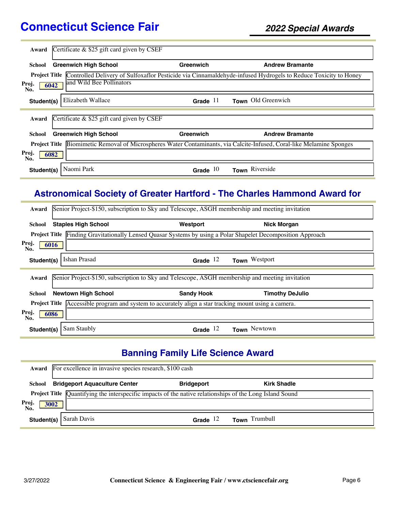| Award                | Certificate $\&$ \$25 gift card given by CSEF |            |                                                                                                                       |
|----------------------|-----------------------------------------------|------------|-----------------------------------------------------------------------------------------------------------------------|
|                      |                                               |            |                                                                                                                       |
|                      |                                               |            |                                                                                                                       |
| School               | <b>Greenwich High School</b>                  | Greenwich  | <b>Andrew Bramante</b>                                                                                                |
| <b>Project Title</b> |                                               |            | Controlled Delivery of Sulfoxaflor Pesticide via Cinnamaldehyde-infused Hydrogels to Reduce Toxicity to Honey         |
|                      | and Wild Bee Pollinators                      |            |                                                                                                                       |
| Proj.                | 6042                                          |            |                                                                                                                       |
| No.                  |                                               |            |                                                                                                                       |
| Student(s)           | Elizabeth Wallace                             | Grade $11$ | Town Old Greenwich                                                                                                    |
|                      |                                               |            |                                                                                                                       |
|                      |                                               |            |                                                                                                                       |
|                      |                                               |            |                                                                                                                       |
| Award                |                                               |            |                                                                                                                       |
|                      | Certificate & \$25 gift card given by CSEF    |            |                                                                                                                       |
|                      |                                               |            |                                                                                                                       |
| School               | <b>Greenwich High School</b>                  | Greenwich  | <b>Andrew Bramante</b>                                                                                                |
|                      |                                               |            | Project Title Biomimetic Removal of Microspheres Water Contaminants, via Calcite-Infused, Coral-like Melamine Sponges |
|                      |                                               |            |                                                                                                                       |
| Proj.                | 6082                                          |            |                                                                                                                       |
| No.                  |                                               |            |                                                                                                                       |
| Student(s)           | Naomi Park                                    | Grade $10$ | Town Riverside                                                                                                        |

### **Astronomical Society of Greater Hartford - The Charles Hammond Award for**

| Award                |                            | Senior Project-\$150, subscription to Sky and Telescope, ASGH membership and meeting invitation |                                                                                                |
|----------------------|----------------------------|-------------------------------------------------------------------------------------------------|------------------------------------------------------------------------------------------------|
| School               | <b>Staples High School</b> | Westport                                                                                        | <b>Nick Morgan</b>                                                                             |
| <b>Project Title</b> |                            |                                                                                                 | Finding Gravitationally Lensed Quasar Systems by using a Polar Shapelet Decomposition Approach |
| Proj.<br>6016<br>No. |                            |                                                                                                 |                                                                                                |
| Student(s)           | Ishan Prasad               | Grade $12$                                                                                      | Town Westport                                                                                  |
|                      |                            |                                                                                                 |                                                                                                |
| Award                |                            | Senior Project-\$150, subscription to Sky and Telescope, ASGH membership and meeting invitation |                                                                                                |
| School               | <b>Newtown High School</b> | <b>Sandy Hook</b>                                                                               | <b>Timothy DeJulio</b>                                                                         |
| <b>Project Title</b> |                            | Accessible program and system to accurately align a star tracking mount using a camera.         |                                                                                                |
| Proj.<br>6086<br>No. |                            |                                                                                                 |                                                                                                |
| Student(s)           | Sam Staubly                | Grade $12$                                                                                      | Town Newtown                                                                                   |

## **Banning Family Life Science Award**

|                      | Award For excellence in invasive species research, \$100 cash                                                   |                   |                    |  |  |
|----------------------|-----------------------------------------------------------------------------------------------------------------|-------------------|--------------------|--|--|
| School               | <b>Bridgeport Aquaculture Center</b>                                                                            | <b>Bridgeport</b> | <b>Kirk Shadle</b> |  |  |
|                      | <b>Project Title</b> Quantifying the interspecific impacts of the native relationships of the Long Island Sound |                   |                    |  |  |
| Proj.<br>No.<br>3002 |                                                                                                                 |                   |                    |  |  |
| Student(s)           | Sarah Davis                                                                                                     | Grade $12$        | Town Trumbull      |  |  |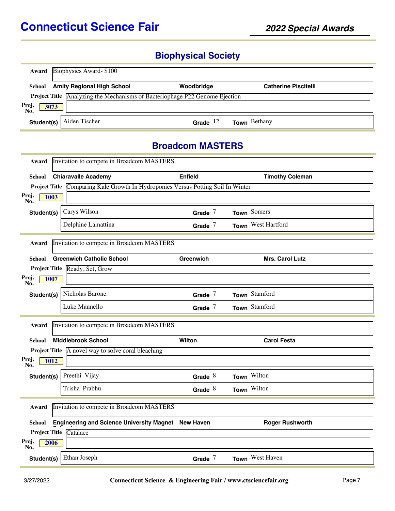## **Biophysical Society**

| Award               | Biophysics Award-\$100                   |                                                                                    |                             |  |
|---------------------|------------------------------------------|------------------------------------------------------------------------------------|-----------------------------|--|
|                     | <b>School</b> Amity Regional High School | Woodbridge                                                                         | <b>Catherine Piscitelli</b> |  |
|                     |                                          | <b>Project Title</b> Analyzing the Mechanisms of Bacteriophage P22 Genome Ejection |                             |  |
| Proj<br>3073<br>Nŏ. |                                          |                                                                                    |                             |  |
| Student(s)          | Aiden Tischer                            | Grade $12$                                                                         | <b>Town</b> Bethany         |  |

#### **Broadcom MASTERS**

| Award                                              | Invitation to compete in Broadcom MASTERS                                        |                |                        |  |
|----------------------------------------------------|----------------------------------------------------------------------------------|----------------|------------------------|--|
| School                                             | <b>Chiaravalle Academy</b>                                                       | <b>Enfield</b> | <b>Timothy Coleman</b> |  |
|                                                    | Project Title Comparing Kale Growth In Hydroponics Versus Potting Soil In Winter |                |                        |  |
| Proj.<br>1003<br>No.                               |                                                                                  |                |                        |  |
| Student(s)                                         | Carys Wilson                                                                     | Grade $7$      | Town Somers            |  |
|                                                    | Delphine Lamattina                                                               | Grade $7$      | Town West Hartford     |  |
| Award                                              | Invitation to compete in Broadcom MASTERS                                        |                |                        |  |
| School                                             | <b>Greenwich Catholic School</b>                                                 | Greenwich      | Mrs. Carol Lutz        |  |
|                                                    | Project Title Ready, Set, Grow                                                   |                |                        |  |
| Proj.<br>1007<br>No.                               |                                                                                  |                |                        |  |
| Student(s)                                         | Nicholas Barone                                                                  | Grade $7$      | Town Stamford          |  |
|                                                    | Luke Mannello                                                                    | Grade $7$      | Town Stamford          |  |
| Award                                              | Invitation to compete in Broadcom MASTERS                                        |                |                        |  |
| School                                             | <b>Middlebrook School</b>                                                        | Wilton         | <b>Carol Festa</b>     |  |
|                                                    | <b>Project Title</b> $\boxed{A}$ novel way to solve coral bleaching              |                |                        |  |
| Proj.<br>No.<br>1012                               |                                                                                  |                |                        |  |
| Student(s)                                         | Preethi Vijay                                                                    | Grade $8$      | Town Wilton            |  |
|                                                    | Trisha Prabhu                                                                    | Grade $8$      | Town Wilton            |  |
| Invitation to compete in Broadcom MASTERS<br>Award |                                                                                  |                |                        |  |
| School                                             | Engineering and Science University Magnet New Haven                              |                | <b>Roger Rushworth</b> |  |
|                                                    | <b>Project Title Catalace</b>                                                    |                |                        |  |
| Proj.<br>No.<br>2006                               |                                                                                  |                |                        |  |
| Student(s)                                         | Ethan Joseph                                                                     | Grade $7$      | Town West Haven        |  |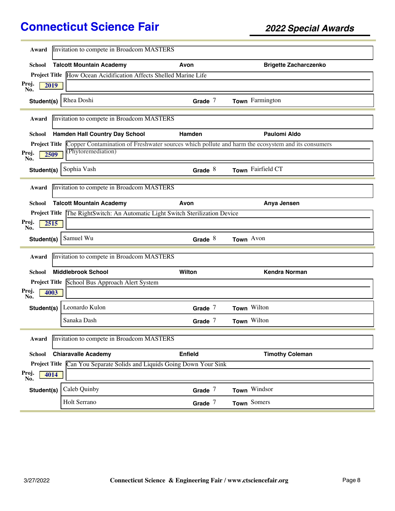| Award                | Invitation to compete in Broadcom MASTERS                                                         |                |                              |
|----------------------|---------------------------------------------------------------------------------------------------|----------------|------------------------------|
| School               | <b>Talcott Mountain Academy</b>                                                                   | Avon           | <b>Brigette Zacharczenko</b> |
|                      | Project Title How Ocean Acidification Affects Shelled Marine Life                                 |                |                              |
| Proj.<br>2019<br>No. |                                                                                                   |                |                              |
| Student(s)           | Rhea Doshi                                                                                        | Grade $7$      | Town Farmington              |
| Award                | Invitation to compete in Broadcom MASTERS                                                         |                |                              |
| <b>School</b>        | Hamden Hall Country Day School                                                                    | Hamden         | <b>Paulomi Aldo</b>          |
| <b>Project Title</b> | Copper Contamination of Freshwater sources which pollute and harm the ecosystem and its consumers |                |                              |
| Proj.<br>2509<br>No. | (Phytoremediation)                                                                                |                |                              |
| Student(s)           | Sophia Vash                                                                                       | Grade $8$      | Town Fairfield CT            |
| Award                | Invitation to compete in Broadcom MASTERS                                                         |                |                              |
| School               | <b>Talcott Mountain Academy</b>                                                                   | Avon           | Anya Jensen                  |
| <b>Project Title</b> | The RightSwitch: An Automatic Light Switch Sterilization Device                                   |                |                              |
| Proj.<br>2515<br>No. |                                                                                                   |                |                              |
| Student(s)           | Samuel Wu                                                                                         | Grade $8$      | Town Avon                    |
| Award                | Invitation to compete in Broadcom MASTERS                                                         |                |                              |
| School               | <b>Middlebrook School</b>                                                                         | Wilton         | <b>Kendra Norman</b>         |
|                      | Project Title School Bus Approach Alert System                                                    |                |                              |
| Proj.<br>4003<br>No. |                                                                                                   |                |                              |
| Student(s)           | Leonardo Kulon                                                                                    | Grade $7$      | Town Wilton                  |
|                      | Sanaka Dash                                                                                       | Grade $7$      | Town Wilton                  |
| Award                | Invitation to compete in Broadcom MASTERS                                                         |                |                              |
| School               | <b>Chiaravalle Academy</b>                                                                        | <b>Enfield</b> | <b>Timothy Coleman</b>       |
| <b>Project Title</b> | Can You Separate Solids and Liquids Going Down Your Sink                                          |                |                              |
| Proj.<br>4014<br>No. |                                                                                                   |                |                              |
| Student(s)           | Caleb Quinby                                                                                      | Grade $7$      | Town Windsor                 |
|                      | Holt Serrano                                                                                      | Grade $7$      | Town Somers                  |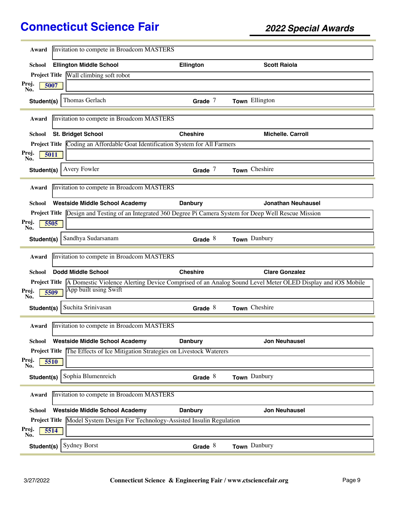| Invitation to compete in Broadcom MASTERS<br>Award                                                                            |                 |                           |
|-------------------------------------------------------------------------------------------------------------------------------|-----------------|---------------------------|
| <b>Ellington Middle School</b><br>School                                                                                      | Ellington       | <b>Scott Raiola</b>       |
| Project Title Wall climbing soft robot                                                                                        |                 |                           |
| Proj.<br>5007<br>No.                                                                                                          |                 |                           |
| Thomas Gerlach<br>Student(s)                                                                                                  | Grade $7$       | Town Ellington            |
| Invitation to compete in Broadcom MASTERS<br>Award                                                                            |                 |                           |
| <b>St. Bridget School</b><br>School                                                                                           | <b>Cheshire</b> | <b>Michelle, Carroll</b>  |
| Project Title Coding an Affordable Goat Identification System for All Farmers                                                 |                 |                           |
| Proj.<br>5011<br>No.                                                                                                          |                 |                           |
| Avery Fowler<br>Student(s)                                                                                                    | Grade $7$       | Town Cheshire             |
| Invitation to compete in Broadcom MASTERS<br>Award                                                                            |                 |                           |
| <b>Westside Middle School Academy</b><br>School                                                                               | <b>Danbury</b>  | <b>Jonathan Neuhausel</b> |
| Design and Testing of an Integrated 360 Degree Pi Camera System for Deep Well Rescue Mission<br><b>Project Title</b>          |                 |                           |
| Proj.<br>5505<br>No.                                                                                                          |                 |                           |
| Sandhya Sudarsanam<br>Student(s)                                                                                              | Grade $8$       | Town Danbury              |
| Invitation to compete in Broadcom MASTERS<br>Award                                                                            |                 |                           |
| <b>Dodd Middle School</b><br>School                                                                                           | <b>Cheshire</b> | <b>Clare Gonzalez</b>     |
| <b>Project Title</b> A Domestic Violence Alerting Device Comprised of an Analog Sound Level Meter OLED Display and iOS Mobile |                 |                           |
| App built using Swift<br>Proj.<br>5509<br>No.                                                                                 |                 |                           |
| Suchita Srinivasan<br>Student(s)                                                                                              | Grade $8$       | Town Cheshire             |
| Award Invitation to compete in Broadcom MASTERS                                                                               |                 |                           |
| <b>Westside Middle School Academy</b><br>School                                                                               | <b>Danbury</b>  | <b>Jon Neuhausel</b>      |
| Project Title The Effects of Ice Mitigation Strategies on Livestock Waterers                                                  |                 |                           |
| Proj.<br>5510<br>No.                                                                                                          |                 |                           |
| Sophia Blumenreich<br>Student(s)                                                                                              | Grade $8$       | Town Danbury              |
| Invitation to compete in Broadcom MASTERS<br>Award                                                                            |                 |                           |
| <b>Westside Middle School Academy</b><br>School                                                                               | <b>Danbury</b>  | <b>Jon Neuhausel</b>      |
| Model System Design For Technology-Assisted Insulin Regulation<br><b>Project Title</b>                                        |                 |                           |
| Proj.<br>5514<br>No.                                                                                                          |                 |                           |
|                                                                                                                               |                 |                           |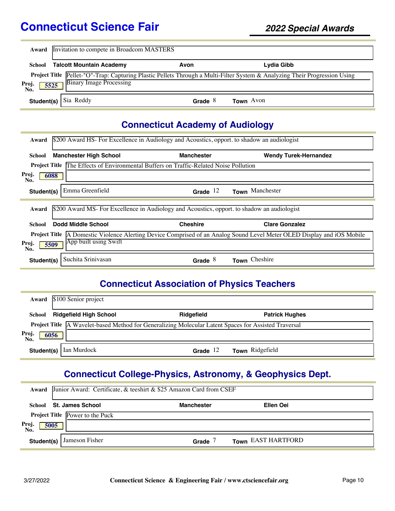|                      | <b>Award</b> Invitation to compete in Broadcom MASTERS |           |                                                                                                                            |  |  |
|----------------------|--------------------------------------------------------|-----------|----------------------------------------------------------------------------------------------------------------------------|--|--|
|                      | <b>School</b> Talcott Mountain Academy                 | Avon      | Lydia Gibb                                                                                                                 |  |  |
| Proj.<br>No.<br>5525 | <b>Binary Image Processing</b>                         |           | Project Title Pellet-"O"-Trap: Capturing Plastic Pellets Through a Multi-Filter System & Analyzing Their Progression Using |  |  |
|                      | Student(s) Sia Reddy                                   | Grade $8$ | Town Avon                                                                                                                  |  |  |

## **Connecticut Academy of Audiology**

| Award                                                                                                                            | \$200 Award HS- For Excellence in Audiology and Acoustics, opport to shadow an audiologist |                   |                              |  |  |
|----------------------------------------------------------------------------------------------------------------------------------|--------------------------------------------------------------------------------------------|-------------------|------------------------------|--|--|
| School                                                                                                                           | <b>Manchester High School</b>                                                              | <b>Manchester</b> | <b>Wendy Turek-Hernandez</b> |  |  |
| <b>Project Title</b>                                                                                                             | The Effects of Environmental Buffers on Traffic-Related Noise Pollution                    |                   |                              |  |  |
| Proj.<br>6088<br>No.                                                                                                             |                                                                                            |                   |                              |  |  |
| Student(s)                                                                                                                       | Emma Greenfield                                                                            | Grade $12$        | Town Manchester              |  |  |
| \$200 Award MS- For Excellence in Audiology and Acoustics, opport to shadow an audiologist<br>Award                              |                                                                                            |                   |                              |  |  |
| School                                                                                                                           | Dodd Middle School                                                                         | <b>Cheshire</b>   | <b>Clare Gonzalez</b>        |  |  |
| A Domestic Violence Alerting Device Comprised of an Analog Sound Level Meter OLED Display and iOS Mobile<br><b>Project Title</b> |                                                                                            |                   |                              |  |  |
| Proj.<br>5509<br>No.                                                                                                             | App built using Swift                                                                      |                   |                              |  |  |
| Student(s)                                                                                                                       | Suchita Srinivasan                                                                         | Grade $8$         | Cheshire<br>Town             |  |  |

## **Connecticut Association of Physics Teachers**

| Award                | \$100 Senior project                                                                                        |            |                       |  |
|----------------------|-------------------------------------------------------------------------------------------------------------|------------|-----------------------|--|
| School               | <b>Ridgefield High School</b>                                                                               | Ridgefield | <b>Patrick Hughes</b> |  |
| Proj.<br>No.<br>6056 | <b>Project Title</b> A Wavelet-based Method for Generalizing Molecular Latent Spaces for Assisted Traversal |            |                       |  |
| Student(s)           | Ian Murdock                                                                                                 | Grade $12$ | Town Ridgefield       |  |

### **Connecticut College-Physics, Astronomy, & Geophysics Dept.**

| Award               | Junior Award: Certificate, & teeshirt & \$25 Amazon Card from CSEF |                   |                    |  |  |
|---------------------|--------------------------------------------------------------------|-------------------|--------------------|--|--|
|                     | School St. James School                                            | <b>Manchester</b> | Ellen Oei          |  |  |
|                     | <b>Project Title Power to the Puck</b>                             |                   |                    |  |  |
| Proj<br>No.<br>5005 |                                                                    |                   |                    |  |  |
| Student(s)          | Jameson Fisher                                                     | Grade             | Town EAST HARTFORD |  |  |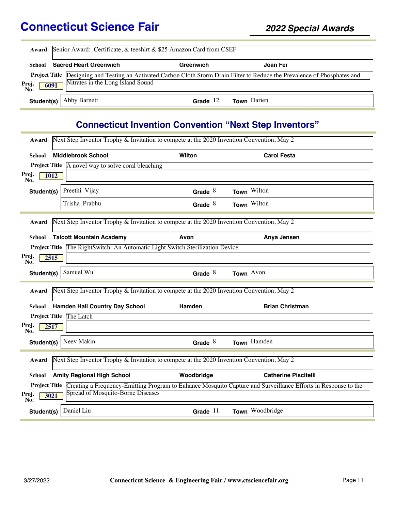|                      | Award Senior Award: Certificate, & teeshirt & \$25 Amazon Card from CSEF                                                                                         |            |                    |  |  |
|----------------------|------------------------------------------------------------------------------------------------------------------------------------------------------------------|------------|--------------------|--|--|
| School               | <b>Sacred Heart Greenwich</b>                                                                                                                                    | Greenwich  | Joan Fei           |  |  |
| Proj.<br>6091<br>No. | Project Title Designing and Testing an Activated Carbon Cloth Storm Drain Filter to Reduce the Prevalence of Phosphates and<br>Nitrates in the Long Island Sound |            |                    |  |  |
|                      | <b>Student(s)</b>   Abby Barnett                                                                                                                                 | Grade $12$ | <b>Town</b> Darien |  |  |

## **Connecticut Invention Convention "Next Step Inventors"**

| Next Step Inventor Trophy & Invitation to compete at the 2020 Invention Convention, May 2<br>Award |                                                                                           |            |                                                                                                                             |  |
|----------------------------------------------------------------------------------------------------|-------------------------------------------------------------------------------------------|------------|-----------------------------------------------------------------------------------------------------------------------------|--|
| School                                                                                             | <b>Middlebrook School</b>                                                                 | Wilton     | <b>Carol Festa</b>                                                                                                          |  |
|                                                                                                    | <b>Project Title</b> A novel way to solve coral bleaching                                 |            |                                                                                                                             |  |
| Proj.<br><b>1012</b><br>No.                                                                        |                                                                                           |            |                                                                                                                             |  |
| Student(s)                                                                                         | Preethi Vijay                                                                             | Grade $8$  | Town Wilton                                                                                                                 |  |
|                                                                                                    | Trisha Prabhu                                                                             | Grade $8$  | Town Wilton                                                                                                                 |  |
| Award                                                                                              | Next Step Inventor Trophy & Invitation to compete at the 2020 Invention Convention, May 2 |            |                                                                                                                             |  |
| School                                                                                             | <b>Talcott Mountain Academy</b>                                                           | Avon       | Anya Jensen                                                                                                                 |  |
| <b>Project Title</b>                                                                               | The RightSwitch: An Automatic Light Switch Sterilization Device                           |            |                                                                                                                             |  |
| Proj.<br>2515<br>No.                                                                               |                                                                                           |            |                                                                                                                             |  |
| Student(s)                                                                                         | Samuel Wu                                                                                 | Grade $8$  | Town Avon                                                                                                                   |  |
| Award                                                                                              | Next Step Inventor Trophy & Invitation to compete at the 2020 Invention Convention, May 2 |            |                                                                                                                             |  |
| School                                                                                             | <b>Hamden Hall Country Day School</b>                                                     | Hamden     | <b>Brian Christman</b>                                                                                                      |  |
|                                                                                                    | Project Title The Latch                                                                   |            |                                                                                                                             |  |
| Proj.<br>2517<br>No.                                                                               |                                                                                           |            |                                                                                                                             |  |
| Student(s)                                                                                         | Neev Makin                                                                                | Grade $8$  | Town Hamden                                                                                                                 |  |
| Next Step Inventor Trophy & Invitation to compete at the 2020 Invention Convention, May 2<br>Award |                                                                                           |            |                                                                                                                             |  |
| <b>School</b>                                                                                      | <b>Amity Regional High School</b>                                                         | Woodbridge | <b>Catherine Piscitelli</b>                                                                                                 |  |
| Proj.<br>3021<br>No.                                                                               | Spread of Mosquito-Borne Diseases                                                         |            | Project Title Creating a Frequency-Emitting Program to Enhance Mosquito Capture and Surveillance Efforts in Response to the |  |
| Student(s)                                                                                         | Daniel Liu                                                                                | Grade $11$ | Town Woodbridge                                                                                                             |  |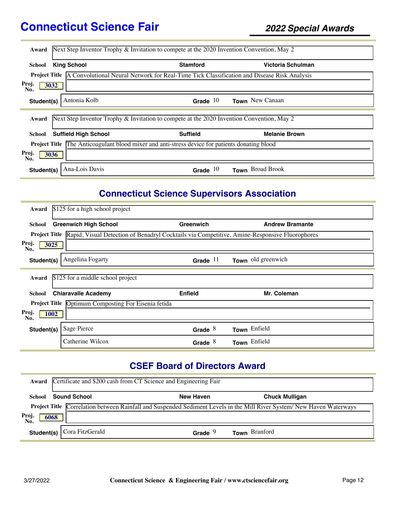| Award                                                                                                           | Next Step Inventor Trophy & Invitation to compete at the 2020 Invention Convention, May 2 |                      |  |  |  |
|-----------------------------------------------------------------------------------------------------------------|-------------------------------------------------------------------------------------------|----------------------|--|--|--|
| <b>King School</b><br>School                                                                                    | <b>Stamford</b>                                                                           | Victoria Schulman    |  |  |  |
| <b>Project Title</b> A Convolutional Neural Network for Real-Time Tick Classification and Disease Risk Analysis |                                                                                           |                      |  |  |  |
| Proj.<br>3032<br>No.                                                                                            |                                                                                           |                      |  |  |  |
| Antonia Kolb<br>Student(s)                                                                                      | Grade $10$                                                                                | Town New Canaan      |  |  |  |
| Next Step Inventor Trophy & Invitation to compete at the 2020 Invention Convention, May 2<br>Award              |                                                                                           |                      |  |  |  |
| <b>Suffield High School</b><br>School                                                                           | <b>Suffield</b>                                                                           | <b>Melanie Brown</b> |  |  |  |
| <b>Project Title</b> The Anticoagulant blood mixer and anti-stress device for patients donating blood           |                                                                                           |                      |  |  |  |
| Proj.<br>3036<br>No.                                                                                            |                                                                                           |                      |  |  |  |
| Ana-Lois Davis<br>Student(s)                                                                                    | Grade $10$                                                                                | Town Broad Brook     |  |  |  |

## **Connecticut Science Supervisors Association**

| Award                       | \$125 for a high school project                                                                            |                |                        |
|-----------------------------|------------------------------------------------------------------------------------------------------------|----------------|------------------------|
| School                      | <b>Greenwich High School</b>                                                                               | Greenwich      | <b>Andrew Bramante</b> |
|                             | Project Title Rapid, Visual Detection of Benadryl Cocktails via Competitive, Amine-Responsive Fluorophores |                |                        |
| Proj.<br>3025<br>No.        |                                                                                                            |                |                        |
| Student(s)                  | Angelina Fogarty                                                                                           | Grade $11$     | Town old greenwich     |
| Award                       | \$125 for a middle school project                                                                          |                |                        |
|                             |                                                                                                            |                |                        |
| School                      | <b>Chiaravalle Academy</b>                                                                                 | <b>Enfield</b> | Mr. Coleman            |
|                             | <b>Project Title</b> Optimum Composting For Eisenia fetida                                                 |                |                        |
| Proj.<br><b>1002</b><br>No. |                                                                                                            |                |                        |
| Student(s)                  | Sage Pierce                                                                                                | Grade $8$      | Town Enfield           |
|                             | Catherine Wilcox                                                                                           | Grade $8$      | Town Enfield           |

## **CSEF Board of Directors Award**

|                      | Award Certificate and \$200 cash from CT Science and Engineering Fair |                    |                                                                                                                              |  |  |  |
|----------------------|-----------------------------------------------------------------------|--------------------|------------------------------------------------------------------------------------------------------------------------------|--|--|--|
| School               | <b>Sound School</b>                                                   | <b>New Haven</b>   | <b>Chuck Mulligan</b>                                                                                                        |  |  |  |
| Proj.<br>No.<br>6068 |                                                                       |                    | <b>Project Title</b> Correlation between Rainfall and Suspended Sediment Levels in the Mill River System/New Haven Waterways |  |  |  |
| Student(s) $\vert$   | Cora FitzGerald                                                       | Grade <sup>9</sup> | Town Branford                                                                                                                |  |  |  |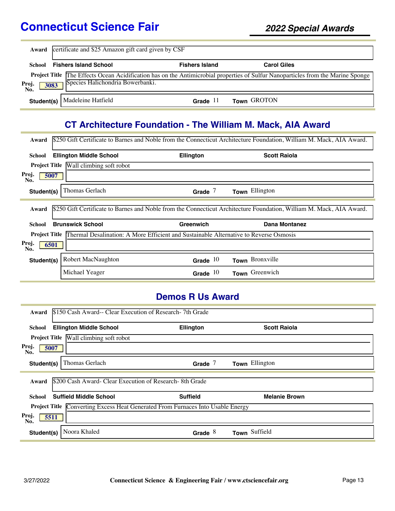| Award                | certificate and \$25 Amazon gift card given by CSF                                                                                                                          |                       |                    |  |
|----------------------|-----------------------------------------------------------------------------------------------------------------------------------------------------------------------------|-----------------------|--------------------|--|
| <b>School</b>        | <b>Fishers Island School</b>                                                                                                                                                | <b>Fishers Island</b> | <b>Carol Giles</b> |  |
| Proj.<br>No.<br>3083 | <b>Project Title The Effects Ocean Acidification has on the Antimicrobial properties of Sulfur Nanoparticles from the Marine Sponge</b><br>Species Halichondria Bowerbanki. |                       |                    |  |
| Student(s)           | Madeleine Hatfield                                                                                                                                                          | Grade $11$            | Town GROTON        |  |

## **CT Architecture Foundation - The William M. Mack, AIA Award**

| \$250 Gift Certificate to Barnes and Noble from the Connecticut Architecture Foundation, William M. Mack, AIA Award.<br>Award |                                                                                       |                  |                                                                                                                      |  |  |  |
|-------------------------------------------------------------------------------------------------------------------------------|---------------------------------------------------------------------------------------|------------------|----------------------------------------------------------------------------------------------------------------------|--|--|--|
| School                                                                                                                        | <b>Ellington Middle School</b>                                                        | <b>Ellington</b> | <b>Scott Raiola</b>                                                                                                  |  |  |  |
|                                                                                                                               | <b>Project Title Wall climbing soft robot</b>                                         |                  |                                                                                                                      |  |  |  |
| Proj.<br>5007<br>No.                                                                                                          |                                                                                       |                  |                                                                                                                      |  |  |  |
| Student(s)                                                                                                                    | Thomas Gerlach                                                                        | Grade $7$        | Town Ellington                                                                                                       |  |  |  |
| Award                                                                                                                         |                                                                                       |                  | \$250 Gift Certificate to Barnes and Noble from the Connecticut Architecture Foundation, William M. Mack, AIA Award. |  |  |  |
| <b>School</b>                                                                                                                 | <b>Brunswick School</b>                                                               | Greenwich        | Dana Montanez                                                                                                        |  |  |  |
| <b>Project Title</b>                                                                                                          | Thermal Desalination: A More Efficient and Sustainable Alternative to Reverse Osmosis |                  |                                                                                                                      |  |  |  |
| Proj.<br>6501<br>No.                                                                                                          |                                                                                       |                  |                                                                                                                      |  |  |  |
| Student(s)                                                                                                                    | <b>Robert MacNaughton</b>                                                             | Grade $10$       | Town Bronxville                                                                                                      |  |  |  |
|                                                                                                                               | Michael Yeager                                                                        | Grade $10$       | Town Greenwich                                                                                                       |  |  |  |

### **Demos R Us Award**

| Award                                                                                     | \$150 Cash Award-- Clear Execution of Research-7th Grade |                 |                         |  |  |  |
|-------------------------------------------------------------------------------------------|----------------------------------------------------------|-----------------|-------------------------|--|--|--|
| School                                                                                    | <b>Ellington Middle School</b>                           | Ellington       | <b>Scott Raiola</b>     |  |  |  |
|                                                                                           | Project Title Wall climbing soft robot                   |                 |                         |  |  |  |
| Proj.<br>5007<br>No.                                                                      |                                                          |                 |                         |  |  |  |
| Student(s)                                                                                | Thomas Gerlach                                           | Grade $7$       | Town Ellington          |  |  |  |
| Award                                                                                     | \$200 Cash Award- Clear Execution of Research-8th Grade  |                 |                         |  |  |  |
| School                                                                                    | <b>Suffield Middle School</b>                            | <b>Suffield</b> | <b>Melanie Brown</b>    |  |  |  |
| Converting Excess Heat Generated From Furnaces Into Usable Energy<br><b>Project Title</b> |                                                          |                 |                         |  |  |  |
| Proj.<br>5511<br>No.                                                                      |                                                          |                 |                         |  |  |  |
| Student(s)                                                                                | Noora Khaled                                             | Grade $8$       | Suffield<br><b>Town</b> |  |  |  |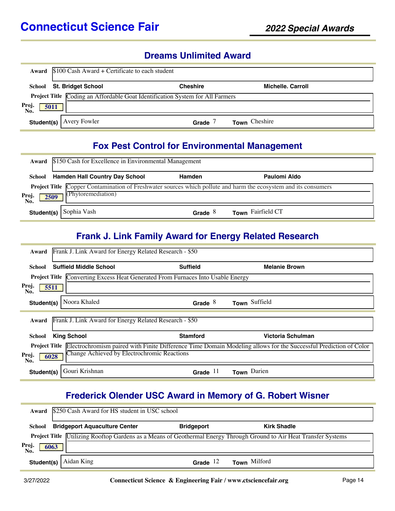#### **Dreams Unlimited Award**

| Award                | $$100$ Cash Award + Certificate to each student |                                                                               |                   |  |  |  |
|----------------------|-------------------------------------------------|-------------------------------------------------------------------------------|-------------------|--|--|--|
| School               | <b>St. Bridget School</b>                       | <b>Cheshire</b>                                                               | Michelle, Carroll |  |  |  |
|                      |                                                 | Project Title Coding an Affordable Goat Identification System for All Farmers |                   |  |  |  |
| Proj.<br>5011<br>No. |                                                 |                                                                               |                   |  |  |  |
| Student(s)           | Avery Fowler                                    | Grade                                                                         | Town Cheshire     |  |  |  |

#### **Fox Pest Control for Environmental Management**

|                      | <b>Award</b> \$150 Cash for Excellence in Environmental Management |           |                                                                                                                 |  |
|----------------------|--------------------------------------------------------------------|-----------|-----------------------------------------------------------------------------------------------------------------|--|
| School               | <b>Hamden Hall Country Day School</b>                              | Hamden    | Paulomi Aldo                                                                                                    |  |
| Proj.<br>No.<br>2509 | (Phytoremediation)                                                 |           | Project Title Copper Contamination of Freshwater sources which pollute and harm the ecosystem and its consumers |  |
|                      | <b>Student(s)</b> Sophia Vash                                      | Grade $8$ | Town Fairfield CT                                                                                               |  |

#### **Frank J. Link Family Award for Energy Related Research**

| Frank J. Link Award for Energy Related Research - \$50<br>Award                        |                 |                                                                                                                                       |  |  |  |  |
|----------------------------------------------------------------------------------------|-----------------|---------------------------------------------------------------------------------------------------------------------------------------|--|--|--|--|
| <b>Suffield Middle School</b><br>School                                                | <b>Suffield</b> | <b>Melanie Brown</b>                                                                                                                  |  |  |  |  |
| <b>Project Title Converting Excess Heat Generated From Furnaces Into Usable Energy</b> |                 |                                                                                                                                       |  |  |  |  |
| Proj.<br>5511<br>No.                                                                   |                 |                                                                                                                                       |  |  |  |  |
| Noora Khaled<br>Student(s)                                                             | Grade $8$       | Town Suffield                                                                                                                         |  |  |  |  |
| Frank J. Link Award for Energy Related Research - \$50<br>Award                        |                 |                                                                                                                                       |  |  |  |  |
| <b>King School</b><br>School                                                           | <b>Stamford</b> | Victoria Schulman                                                                                                                     |  |  |  |  |
|                                                                                        |                 | <b>Project Title</b> Electrochromism paired with Finite Difference Time Domain Modeling allows for the Successful Prediction of Color |  |  |  |  |
| Change Achieved by Electrochromic Reactions<br>Proj.<br>6028<br>No.                    |                 |                                                                                                                                       |  |  |  |  |
| Gouri Krishnan<br>Student(s)                                                           | -11<br>Grade    | Town Darien                                                                                                                           |  |  |  |  |

## **Frederick Olender USC Award in Memory of G. Robert Wisner**

|                      | Award \$250 Cash Award for HS student in USC school                                                                        |                   |                     |  |  |  |
|----------------------|----------------------------------------------------------------------------------------------------------------------------|-------------------|---------------------|--|--|--|
| School               | <b>Bridgeport Aquaculture Center</b>                                                                                       | <b>Bridgeport</b> | <b>Kirk Shadle</b>  |  |  |  |
|                      | <b>Project Title</b> Utilizing Rooftop Gardens as a Means of Geothermal Energy Through Ground to Air Heat Transfer Systems |                   |                     |  |  |  |
| Proj.<br>No.<br>6063 |                                                                                                                            |                   |                     |  |  |  |
| Student(s)           | Aidan King                                                                                                                 | Grade $12$        | <b>Town</b> Milford |  |  |  |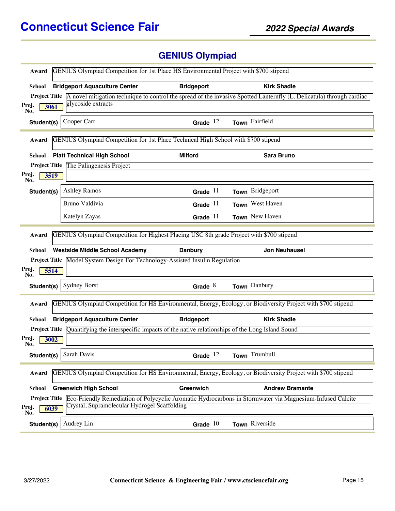# **GENIUS Olympiad**

| GENIUS Olympiad Competition for 1st Place HS Environmental Project with \$700 stipend<br>Award                         |                                                                                                                 |                   |                                                                                                                                            |  |  |
|------------------------------------------------------------------------------------------------------------------------|-----------------------------------------------------------------------------------------------------------------|-------------------|--------------------------------------------------------------------------------------------------------------------------------------------|--|--|
| <b>School</b>                                                                                                          | <b>Bridgeport Aquaculture Center</b>                                                                            | <b>Bridgeport</b> | <b>Kirk Shadle</b>                                                                                                                         |  |  |
|                                                                                                                        |                                                                                                                 |                   | <b>Project Title</b> A novel mitigation technique to control the spread of the invasive Spotted Lanternfly (L. Delicatula) through cardiac |  |  |
| Proj.<br>3061<br>No.                                                                                                   | glycoside extracts                                                                                              |                   |                                                                                                                                            |  |  |
| Student(s)                                                                                                             | Cooper Carr                                                                                                     | Grade $12$        | Town Fairfield                                                                                                                             |  |  |
| Award                                                                                                                  | GENIUS Olympiad Competition for 1st Place Technical High School with \$700 stipend                              |                   |                                                                                                                                            |  |  |
| <b>School</b>                                                                                                          | <b>Platt Technical High School</b>                                                                              | <b>Milford</b>    | <b>Sara Bruno</b>                                                                                                                          |  |  |
|                                                                                                                        | <b>Project Title</b> The Palingenesis Project                                                                   |                   |                                                                                                                                            |  |  |
| Proj.<br>3519<br>No.                                                                                                   |                                                                                                                 |                   |                                                                                                                                            |  |  |
| Student(s)                                                                                                             | <b>Ashley Ramos</b>                                                                                             | Grade $11$        | Town Bridgeport                                                                                                                            |  |  |
|                                                                                                                        | Bruno Valdivia                                                                                                  | Grade $11$        | Town West Haven                                                                                                                            |  |  |
|                                                                                                                        | Katelyn Zayas                                                                                                   | Grade $11$        | Town New Haven                                                                                                                             |  |  |
| Award                                                                                                                  | GENIUS Olympiad Competition for Highest Placing USC 8th grade Project with \$700 stipend                        |                   |                                                                                                                                            |  |  |
| School                                                                                                                 | <b>Westside Middle School Academy</b>                                                                           | <b>Danbury</b>    | <b>Jon Neuhausel</b>                                                                                                                       |  |  |
| Proj.<br>5514                                                                                                          | Project Title Model System Design For Technology-Assisted Insulin Regulation                                    |                   |                                                                                                                                            |  |  |
| No.                                                                                                                    |                                                                                                                 |                   |                                                                                                                                            |  |  |
| Student(s)                                                                                                             | <b>Sydney Borst</b>                                                                                             | Grade $8$         | Town Danbury                                                                                                                               |  |  |
| Award                                                                                                                  |                                                                                                                 |                   | GENIUS Olympiad Competition for HS Environmental, Energy, Ecology, or Biodiversity Project with \$700 stipend                              |  |  |
| School                                                                                                                 | <b>Bridgeport Aquaculture Center</b>                                                                            | <b>Bridgeport</b> | <b>Kirk Shadle</b>                                                                                                                         |  |  |
|                                                                                                                        | <b>Project Title</b> Quantifying the interspecific impacts of the native relationships of the Long Island Sound |                   |                                                                                                                                            |  |  |
| Proj.<br>3002<br>No.                                                                                                   |                                                                                                                 |                   |                                                                                                                                            |  |  |
|                                                                                                                        | Student(s) Sarah Davis                                                                                          | Grade $12$        | Town Trumbull                                                                                                                              |  |  |
| GENIUS Olympiad Competition for HS Environmental, Energy, Ecology, or Biodiversity Project with \$700 stipend<br>Award |                                                                                                                 |                   |                                                                                                                                            |  |  |
| School                                                                                                                 | <b>Greenwich High School</b>                                                                                    | Greenwich         | <b>Andrew Bramante</b>                                                                                                                     |  |  |
|                                                                                                                        | Crystal, Supramolecular Hydrogel Scaffolding                                                                    |                   | <b>Project Title</b> Eco-Friendly Remediation of Polycyclic Aromatic Hydrocarbons in Stormwater via Magnesium-Infused Calcite              |  |  |
| Proj.<br>6039<br>No.                                                                                                   |                                                                                                                 |                   |                                                                                                                                            |  |  |
| Student(s)                                                                                                             | Audrey Lin                                                                                                      | Grade $10$        | Town Riverside                                                                                                                             |  |  |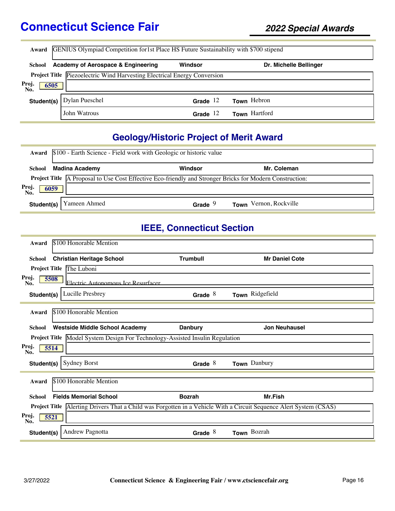|                      | Award GENIUS Olympiad Competition for 1st Place HS Future Sustainability with \$700 stipend |            |                        |  |  |  |
|----------------------|---------------------------------------------------------------------------------------------|------------|------------------------|--|--|--|
| School               | Academy of Aerospace & Engineering                                                          | Windsor    | Dr. Michelle Bellinger |  |  |  |
|                      | <b>Project Title</b> Piezoelectric Wind Harvesting Electrical Energy Conversion             |            |                        |  |  |  |
| Proj.<br>6505<br>No. |                                                                                             |            |                        |  |  |  |
| Student(s)           | Dylan Pueschel                                                                              | Grade $12$ | Town Hebron            |  |  |  |
|                      | John Watrous                                                                                | Grade $12$ | Town Hartford          |  |  |  |

## **Geology/Historic Project of Merit Award**

| Award                | \$100 - Earth Science - Field work with Geologic or historic value                                              |           |                        |  |  |  |
|----------------------|-----------------------------------------------------------------------------------------------------------------|-----------|------------------------|--|--|--|
| School               | <b>Madina Academy</b>                                                                                           | Windsor   | Mr. Coleman            |  |  |  |
| Proj.<br>No.<br>6059 | <b>Project Title</b> A Proposal to Use Cost Effective Eco-friendly and Stronger Bricks for Modern Construction: |           |                        |  |  |  |
| Student(s)           | Yameen Ahmed                                                                                                    | Grade $9$ | Town Vernon, Rockville |  |  |  |

#### **IEEE, Connecticut Section**

| Award                | \$100 Honorable Mention                                                                              |                 |                       |
|----------------------|------------------------------------------------------------------------------------------------------|-----------------|-----------------------|
| <b>School</b>        | <b>Christian Heritage School</b>                                                                     | <b>Trumbull</b> | <b>Mr Daniel Cote</b> |
| <b>Project Title</b> | The Luboni                                                                                           |                 |                       |
| Proj.<br>5508<br>No. | Electric Autonomous Ice Resurfacer                                                                   |                 |                       |
| Student(s)           | Lucille Presbrey                                                                                     | Grade $8$       | Town Ridgefield       |
| Award                | \$100 Honorable Mention                                                                              |                 |                       |
| School               | <b>Westside Middle School Academy</b>                                                                | <b>Danbury</b>  | <b>Jon Neuhausel</b>  |
|                      | Project Title Model System Design For Technology-Assisted Insulin Regulation                         |                 |                       |
| Proj.<br>5514<br>No. |                                                                                                      |                 |                       |
| Student(s)           | <b>Sydney Borst</b>                                                                                  | Grade $8$       | Town Danbury          |
| Award                | \$100 Honorable Mention                                                                              |                 |                       |
| <b>School</b>        | <b>Fields Memorial School</b>                                                                        | <b>Bozrah</b>   | Mr.Fish               |
| <b>Project Title</b> | Alerting Drivers That a Child was Forgotten in a Vehicle With a Circuit Sequence Alert System (CSAS) |                 |                       |
| Proj.<br>5521<br>No. |                                                                                                      |                 |                       |
| Student(s)           | <b>Andrew Pagnotta</b>                                                                               | Grade $8$       | Town Bozrah           |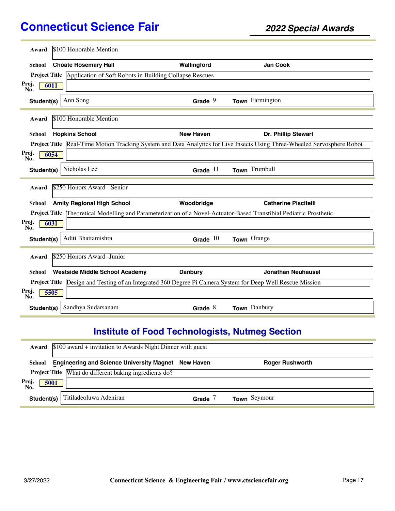| \$100 Honorable Mention<br>Award                       |                                                                                                            |                                                                                                                                 |
|--------------------------------------------------------|------------------------------------------------------------------------------------------------------------|---------------------------------------------------------------------------------------------------------------------------------|
| <b>Choate Rosemary Hall</b><br>School                  | Wallingford                                                                                                | <b>Jan Cook</b>                                                                                                                 |
|                                                        | Project Title Application of Soft Robots in Building Collapse Rescues                                      |                                                                                                                                 |
| Proj.<br>6011<br>No.                                   |                                                                                                            |                                                                                                                                 |
| Ann Song<br>Student(s)                                 | Grade $9$                                                                                                  | Town Farmington                                                                                                                 |
| \$100 Honorable Mention<br>Award                       |                                                                                                            |                                                                                                                                 |
| <b>Hopkins School</b><br>School                        | <b>New Haven</b>                                                                                           | Dr. Phillip Stewart                                                                                                             |
|                                                        |                                                                                                            | <b>Project Title</b> Real-Time Motion Tracking System and Data Analytics for Live Insects Using Three-Wheeled Servosphere Robot |
| Proj.<br>6054<br>No.                                   |                                                                                                            |                                                                                                                                 |
| Nicholas Lee<br>Student(s)                             | Grade $11$                                                                                                 | Town Trumbull                                                                                                                   |
| \$250 Honors Award -Senior<br>Award                    |                                                                                                            |                                                                                                                                 |
|                                                        |                                                                                                            |                                                                                                                                 |
| <b>Amity Regional High School</b><br><b>School</b>     | Woodbridge                                                                                                 | <b>Catherine Piscitelli</b>                                                                                                     |
| <b>Project Title</b>                                   | Theoretical Modelling and Parameterization of a Novel-Actuator-Based Transtibial Pediatric Prosthetic      |                                                                                                                                 |
| Proj.<br>6031<br>No.                                   |                                                                                                            |                                                                                                                                 |
| Aditi Bhattamishra<br>Student(s)                       | Grade $10$                                                                                                 | Town Orange                                                                                                                     |
| \$250 Honors Award -Junior<br>Award                    |                                                                                                            |                                                                                                                                 |
| <b>Westside Middle School Academy</b><br><b>School</b> | <b>Danbury</b>                                                                                             | <b>Jonathan Neuhausel</b>                                                                                                       |
|                                                        | Project Title Design and Testing of an Integrated 360 Degree Pi Camera System for Deep Well Rescue Mission |                                                                                                                                 |
| Proj.<br>5505<br>No.                                   |                                                                                                            |                                                                                                                                 |
| Sandhya Sudarsanam<br>Student(s)                       | Grade $8$                                                                                                  | Town Danbury                                                                                                                    |

## **Institute of Food Technologists, Nutmeg Section**

|             | <b>Award</b> $$100$ award + invitation to Awards Night Dinner with guest |       |                        |
|-------------|--------------------------------------------------------------------------|-------|------------------------|
| School      | <b>Engineering and Science University Magnet New Haven</b>               |       | <b>Roger Rushworth</b> |
|             | <b>Project Title</b> What do different baking ingredients do?            |       |                        |
| Proj<br>No. | 5001                                                                     |       |                        |
| Student(s)  | Titiladeoluwa Adeniran                                                   | Grade | Town Seymour           |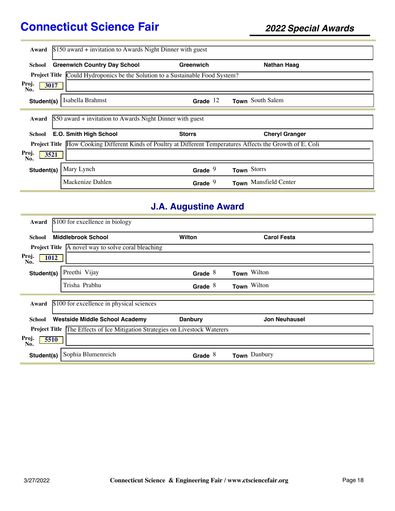| Award                | $$150$ award + invitation to Awards Night Dinner with guest                                                         |               |                       |  |
|----------------------|---------------------------------------------------------------------------------------------------------------------|---------------|-----------------------|--|
| School               | <b>Greenwich Country Day School</b>                                                                                 | Greenwich     | Nathan Haag           |  |
| <b>Project Title</b> | Could Hydroponics be the Solution to a Sustainable Food System?                                                     |               |                       |  |
| Proj.<br>3017<br>No. |                                                                                                                     |               |                       |  |
| Student(s)           | Isabella Brahmst                                                                                                    | Grade $12$    | Town South Salem      |  |
| Award                | \$50 award + invitation to Awards Night Dinner with guest                                                           |               |                       |  |
| School               | E.O. Smith High School                                                                                              | <b>Storrs</b> | <b>Cheryl Granger</b> |  |
|                      | <b>Project Title</b> How Cooking Different Kinds of Poultry at Different Temperatures Affects the Growth of E. Coli |               |                       |  |
| Proj.<br>3521<br>No. |                                                                                                                     |               |                       |  |
| Student(s)           | Mary Lynch                                                                                                          | Grade $9$     | Town Storrs           |  |
|                      | Mackenize Dahlen                                                                                                    | Grade $9$     | Town Mansfield Center |  |

## **J.A. Augustine Award**

| Award                | \$100 for excellence in biology                                              |                |                      |
|----------------------|------------------------------------------------------------------------------|----------------|----------------------|
| <b>School</b>        | <b>Middlebrook School</b>                                                    | Wilton         | <b>Carol Festa</b>   |
|                      | <b>Project Title</b> A novel way to solve coral bleaching                    |                |                      |
| Proj.<br>1012<br>No. |                                                                              |                |                      |
| Student(s)           | Preethi Vijay                                                                | Grade $8$      | Town Wilton          |
|                      | Trisha Prabhu                                                                | Grade $8$      | Town Wilton          |
| Award                | \$100 for excellence in physical sciences                                    |                |                      |
| School               | <b>Westside Middle School Academy</b>                                        | <b>Danbury</b> | <b>Jon Neuhausel</b> |
|                      | Project Title The Effects of Ice Mitigation Strategies on Livestock Waterers |                |                      |
| Proj.<br>5510<br>No. |                                                                              |                |                      |
| Student(s)           | Sophia Blumenreich                                                           | 8<br>Grade     | Danbury<br>Town      |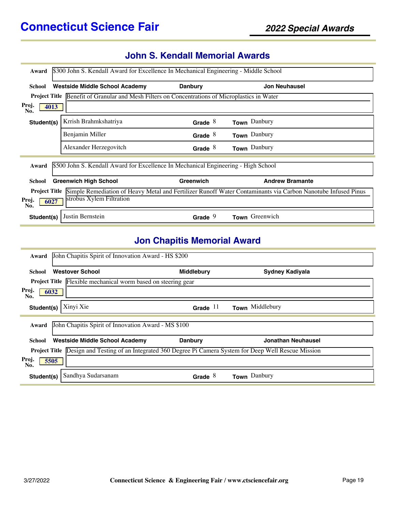## **John S. Kendall Memorial Awards**

| \$300 John S. Kendall Award for Excellence In Mechanical Engineering - Middle School<br>Award                                        |                                                                                                       |                |                        |
|--------------------------------------------------------------------------------------------------------------------------------------|-------------------------------------------------------------------------------------------------------|----------------|------------------------|
| School                                                                                                                               | <b>Westside Middle School Academy</b>                                                                 | <b>Danbury</b> | <b>Jon Neuhausel</b>   |
|                                                                                                                                      | <b>Project Title</b> Benefit of Granular and Mesh Filters on Concentrations of Microplastics in Water |                |                        |
| Proj.<br>4013<br>No.                                                                                                                 |                                                                                                       |                |                        |
| Student(s)                                                                                                                           | Krrish Brahmkshatriya                                                                                 | Grade $8$      | Town Danbury           |
|                                                                                                                                      | Benjamin Miller                                                                                       | Grade $8$      | Town Danbury           |
|                                                                                                                                      | Alexander Herzegovitch                                                                                | Grade $8$      | Town Danbury           |
| Award                                                                                                                                | \$500 John S. Kendall Award for Excellence In Mechanical Engineering - High School                    |                |                        |
| School                                                                                                                               | <b>Greenwich High School</b>                                                                          | Greenwich      | <b>Andrew Bramante</b> |
| Simple Remediation of Heavy Metal and Fertilizer Runoff Water Contaminants via Carbon Nanotube Infused Pinus<br><b>Project Title</b> |                                                                                                       |                |                        |
| Proj.<br>6027<br>No.                                                                                                                 | strobus Xylem Filtration                                                                              |                |                        |
| Student(s)                                                                                                                           | Justin Bernstein                                                                                      | Grade $9$      | Town Greenwich         |

#### **Jon Chapitis Memorial Award**

| John Chapitis Spirit of Innovation Award - HS \$200<br>Award                                                      |                   |                           |  |  |
|-------------------------------------------------------------------------------------------------------------------|-------------------|---------------------------|--|--|
| <b>Westover School</b><br>School                                                                                  | <b>Middlebury</b> | <b>Sydney Kadiyala</b>    |  |  |
| <b>Project Title</b> Flexible mechanical worm based on steering gear                                              |                   |                           |  |  |
| Proj.<br>6032<br>No.                                                                                              |                   |                           |  |  |
| Xinyi Xie<br>Student(s)                                                                                           | Grade $11$        | Town Middlebury           |  |  |
| John Chapitis Spirit of Innovation Award - MS \$100<br>Award                                                      |                   |                           |  |  |
| <b>Westside Middle School Academy</b><br><b>School</b>                                                            | <b>Danbury</b>    | <b>Jonathan Neuhausel</b> |  |  |
| <b>Project Title</b> Design and Testing of an Integrated 360 Degree Pi Camera System for Deep Well Rescue Mission |                   |                           |  |  |
| Proj.<br>5505<br>No.                                                                                              |                   |                           |  |  |
| Sandhya Sudarsanam<br>Student(s)                                                                                  | Grade $8$         | Town Danbury              |  |  |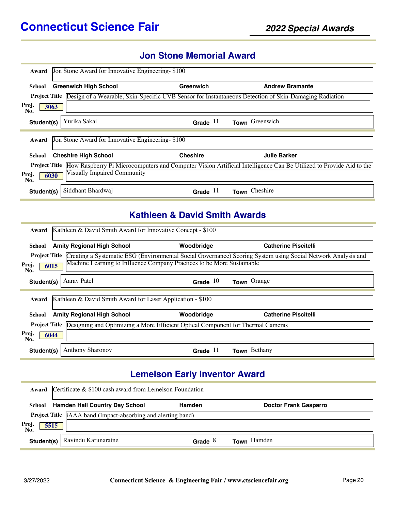#### **Jon Stone Memorial Award**

| Award                                                                                                                                     | Jon Stone Award for Innovative Engineering-\$100 |                 |                                                                                                       |  |
|-------------------------------------------------------------------------------------------------------------------------------------------|--------------------------------------------------|-----------------|-------------------------------------------------------------------------------------------------------|--|
| School                                                                                                                                    | <b>Greenwich High School</b>                     | Greenwich       | <b>Andrew Bramante</b>                                                                                |  |
| <b>Project Title</b>                                                                                                                      |                                                  |                 | Design of a Wearable, Skin-Specific UVB Sensor for Instantaneous Detection of Skin-Damaging Radiation |  |
| Proj.<br>3063<br>No.                                                                                                                      |                                                  |                 |                                                                                                       |  |
| Student(s)                                                                                                                                | Yurika Sakai                                     | Grade $11$      | Town Greenwich                                                                                        |  |
| Jon Stone Award for Innovative Engineering-\$100<br>Award                                                                                 |                                                  |                 |                                                                                                       |  |
| School                                                                                                                                    | <b>Cheshire High School</b>                      | <b>Cheshire</b> | <b>Julie Barker</b>                                                                                   |  |
| How Raspberry Pi Microcomputers and Computer Vision Artificial Intelligence Can Be Utilized to Provide Aid to the<br><b>Project Title</b> |                                                  |                 |                                                                                                       |  |
| Visually Impaired Community<br>Proj.<br>6030<br>No.                                                                                       |                                                  |                 |                                                                                                       |  |
| Student(s)                                                                                                                                | Siddhant Bhardwaj                                | Grade $11$      | Town Cheshire                                                                                         |  |

### **Kathleen & David Smith Awards**

| Award                                                                                                | Kathleen & David Smith Award for Innovative Concept - \$100 |                                                                        |                                                                                                                                   |
|------------------------------------------------------------------------------------------------------|-------------------------------------------------------------|------------------------------------------------------------------------|-----------------------------------------------------------------------------------------------------------------------------------|
| School                                                                                               | <b>Amity Regional High School</b>                           | Woodbridge                                                             | <b>Catherine Piscitelli</b>                                                                                                       |
|                                                                                                      |                                                             |                                                                        | <b>Project Title Creating a Systematic ESG (Environmental Social Governance) Scoring System using Social Network Analysis and</b> |
| Proj.<br>No.                                                                                         | 6015                                                        | Machine Learning to Influence Company Practices to be More Sustainable |                                                                                                                                   |
| Student(s)                                                                                           | Aarav Patel                                                 | Grade $10$                                                             | Town Orange                                                                                                                       |
|                                                                                                      |                                                             |                                                                        |                                                                                                                                   |
| Award                                                                                                | Kathleen & David Smith Award for Laser Application - \$100  |                                                                        |                                                                                                                                   |
| School                                                                                               | <b>Amity Regional High School</b>                           | Woodbridge                                                             | <b>Catherine Piscitelli</b>                                                                                                       |
| <b>Project Title</b> Designing and Optimizing a More Efficient Optical Component for Thermal Cameras |                                                             |                                                                        |                                                                                                                                   |
| Proj.<br>6044<br>No.                                                                                 |                                                             |                                                                        |                                                                                                                                   |
| Student(s)                                                                                           | Anthony Sharonov                                            | Grade $11$                                                             | Town Bethany                                                                                                                      |

#### **Lemelson Early Inventor Award**

|              | Award Certificate & \$100 cash award from Lemelson Foundation                   |           |                    |  |
|--------------|---------------------------------------------------------------------------------|-----------|--------------------|--|
| School       | <b>Hamden Hall Country Day School</b><br><b>Doctor Frank Gasparro</b><br>Hamden |           |                    |  |
|              | <b>Project Title</b> [AAA band (Impact-absorbing and alerting band)             |           |                    |  |
| Proj.<br>No. | 5515                                                                            |           |                    |  |
| Student(s)   | Ravindu Karunaratne                                                             | Grade $8$ | <b>Town</b> Hamden |  |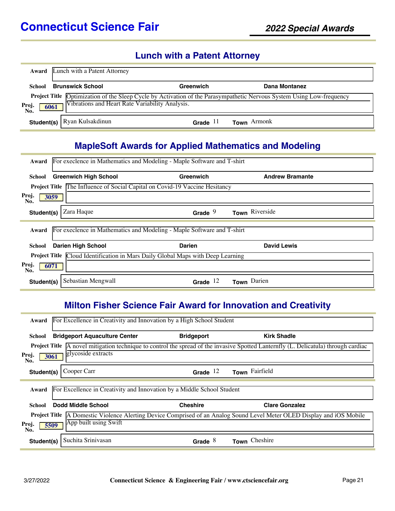#### **Lunch with a Patent Attorney**

|                      | <b>Award</b> Lunch with a Patent Attorney       |            |                                                                                                                       |
|----------------------|-------------------------------------------------|------------|-----------------------------------------------------------------------------------------------------------------------|
| School               | <b>Brunswick School</b>                         | Greenwich  | Dana Montanez                                                                                                         |
| Proj.<br>6061<br>No. | Vibrations and Heart Rate Variability Analysis. |            | Project Title Optimization of the Sleep Cycle by Activation of the Parasympathetic Nervous System Using Low-frequency |
|                      | Student(s)   Ryan Kulsakdinun                   | Grade $11$ | <b>Town</b> Armonk                                                                                                    |

#### **MapleSoft Awards for Applied Mathematics and Modeling**

| Award                                                                                  | For execlence in Mathematics and Modeling - Maple Software and T-shirt |                                                                                    |                        |  |
|----------------------------------------------------------------------------------------|------------------------------------------------------------------------|------------------------------------------------------------------------------------|------------------------|--|
| School                                                                                 | <b>Greenwich High School</b>                                           | Greenwich                                                                          | <b>Andrew Bramante</b> |  |
|                                                                                        |                                                                        | <b>Project Title The Influence of Social Capital on Covid-19 Vaccine Hesitancy</b> |                        |  |
| Proj.<br>No.                                                                           | 3059                                                                   |                                                                                    |                        |  |
| Student(s)                                                                             | Zara Haque                                                             | Grade $9$                                                                          | Town Riverside         |  |
| Award                                                                                  |                                                                        | For execlence in Mathematics and Modeling - Maple Software and T-shirt             |                        |  |
| School                                                                                 | <b>Darien High School</b>                                              | <b>Darien</b>                                                                      | <b>David Lewis</b>     |  |
| <b>Project Title</b> Cloud Identification in Mars Daily Global Maps with Deep Learning |                                                                        |                                                                                    |                        |  |
| Proj.<br>6071<br>No.                                                                   |                                                                        |                                                                                    |                        |  |
| Student(s)                                                                             | Sebastian Mengwall                                                     | Grade $12$                                                                         | Darien<br><b>Town</b>  |  |

#### **Milton Fisher Science Fair Award for Innovation and Creativity**

| For Excellence in Creativity and Innovation by a High School Student<br>Award   |                   |                                                                                                                                            |  |  |  |
|---------------------------------------------------------------------------------|-------------------|--------------------------------------------------------------------------------------------------------------------------------------------|--|--|--|
| <b>Bridgeport Aquaculture Center</b><br>School                                  | <b>Bridgeport</b> | <b>Kirk Shadle</b>                                                                                                                         |  |  |  |
|                                                                                 |                   | <b>Project Title</b> A novel mitigation technique to control the spread of the invasive Spotted Lanternfly (L. Delicatula) through cardiac |  |  |  |
| glycoside extracts<br>Proj.<br>3061<br>No.                                      |                   |                                                                                                                                            |  |  |  |
| Cooper Carr<br>Student(s)                                                       | Grade $12$        | Town Fairfield                                                                                                                             |  |  |  |
|                                                                                 |                   |                                                                                                                                            |  |  |  |
| For Excellence in Creativity and Innovation by a Middle School Student<br>Award |                   |                                                                                                                                            |  |  |  |
| Dodd Middle School<br>School                                                    | <b>Cheshire</b>   | <b>Clare Gonzalez</b>                                                                                                                      |  |  |  |
|                                                                                 |                   | <b>Project Title</b> A Domestic Violence Alerting Device Comprised of an Analog Sound Level Meter OLED Display and iOS Mobile              |  |  |  |
| App built using Swift<br>Proj.<br>5509<br>No.                                   |                   |                                                                                                                                            |  |  |  |
| Suchita Srinivasan<br>Student(s)                                                | Grade $8$         | Town Cheshire                                                                                                                              |  |  |  |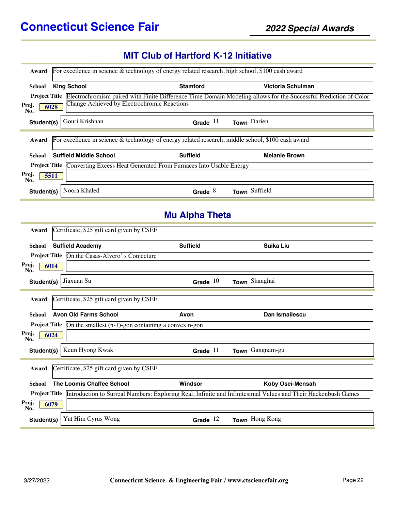#### **MIT Club of Hartford K-12 Initiative**

| Award                | For excellence in science & technology of energy related research, high school, \$100 cash award      |                       |                                                                                                                                       |
|----------------------|-------------------------------------------------------------------------------------------------------|-----------------------|---------------------------------------------------------------------------------------------------------------------------------------|
| School               | <b>King School</b>                                                                                    | <b>Stamford</b>       | Victoria Schulman                                                                                                                     |
|                      |                                                                                                       |                       | <b>Project Title</b> Electrochromism paired with Finite Difference Time Domain Modeling allows for the Successful Prediction of Color |
| Proj.<br>6028<br>No. | Change Achieved by Electrochromic Reactions                                                           |                       |                                                                                                                                       |
| Student(s)           | Gouri Krishnan                                                                                        | Grade $11$            | Town Darien                                                                                                                           |
|                      | For excellence in science $\&$ technology of energy related research, middle school, \$100 cash award |                       |                                                                                                                                       |
| Award                |                                                                                                       |                       |                                                                                                                                       |
| School               | <b>Suffield Middle School</b>                                                                         | <b>Suffield</b>       | <b>Melanie Brown</b>                                                                                                                  |
|                      | Project Title Converting Excess Heat Generated From Furnaces Into Usable Energy                       |                       |                                                                                                                                       |
| Proj.<br>5511<br>No. |                                                                                                       |                       |                                                                                                                                       |
| Student(s)           | Noora Khaled                                                                                          | Grade $8$             | Town Suffield                                                                                                                         |
|                      |                                                                                                       |                       |                                                                                                                                       |
|                      |                                                                                                       | <b>Mu Alpha Theta</b> |                                                                                                                                       |
| Award                | Certificate, \$25 gift card given by CSEF                                                             |                       |                                                                                                                                       |
| School               | <b>Suffield Academy</b>                                                                               | <b>Suffield</b>       | <b>Suika Liu</b>                                                                                                                      |
|                      | <b>Project Title</b> On the Casas-Alvero's Conjecture                                                 |                       |                                                                                                                                       |
| Proj.<br>6014<br>No. |                                                                                                       |                       |                                                                                                                                       |
| Student(s)           | Jiaxuan Su                                                                                            | Grade $10$            | Town Shanghai                                                                                                                         |
| Award                | Certificate, \$25 gift card given by CSEF                                                             |                       |                                                                                                                                       |
| School               | <b>Avon Old Farms School</b>                                                                          | Avon                  | Dan Ismailescu                                                                                                                        |
|                      | <b>Project Title</b> $\left[On\text{ the smallest }(n-1)\text{-gon containing a convex n-gon}\right]$ |                       |                                                                                                                                       |
| Proj.<br>6024<br>No. |                                                                                                       |                       |                                                                                                                                       |
|                      | Student(s)   Keun Hyong Kwak                                                                          |                       | Grade 11 Town Gangnam-gu                                                                                                              |
| Award                | Certificate, \$25 gift card given by CSEF                                                             |                       |                                                                                                                                       |
| School               | The Loomis Chaffee School                                                                             | Windsor               | Koby Osei-Mensah                                                                                                                      |
|                      |                                                                                                       |                       | Project Title Introduction to Surreal Numbers: Exploring Real, Infinite and Infinitesimal Values and Their Hackenbush Games           |
| Proj.<br>6079<br>No. |                                                                                                       |                       |                                                                                                                                       |
| Student(s)           | Yat Him Cyrus Wong                                                                                    | Grade $12$            | Town Hong Kong                                                                                                                        |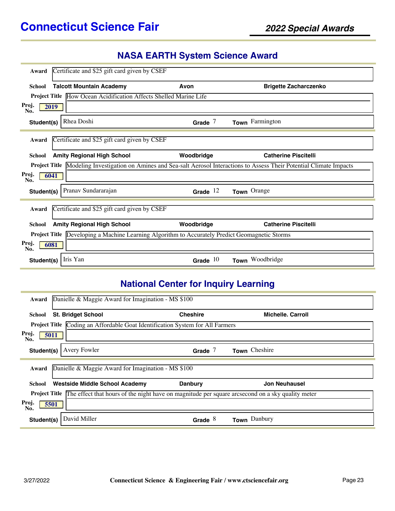## **NASA EARTH System Science Award**

| Award                | Certificate and \$25 gift card given by CSEF                                                             |            |                                                                                                              |  |  |
|----------------------|----------------------------------------------------------------------------------------------------------|------------|--------------------------------------------------------------------------------------------------------------|--|--|
| <b>School</b>        | <b>Talcott Mountain Academy</b>                                                                          | Avon       | <b>Brigette Zacharczenko</b>                                                                                 |  |  |
|                      | <b>Project Title How Ocean Acidification Affects Shelled Marine Life</b>                                 |            |                                                                                                              |  |  |
| Proj.<br>No.         | 2019                                                                                                     |            |                                                                                                              |  |  |
| Student(s)           | Rhea Doshi                                                                                               | Grade $7$  | Town Farmington                                                                                              |  |  |
| Award                | Certificate and \$25 gift card given by CSEF                                                             |            |                                                                                                              |  |  |
| <b>School</b>        | <b>Amity Regional High School</b>                                                                        | Woodbridge | <b>Catherine Piscitelli</b>                                                                                  |  |  |
| <b>Project Title</b> |                                                                                                          |            | Modeling Investigation on Amines and Sea-salt Aerosol Interactions to Assess Their Potential Climate Impacts |  |  |
| Proj.<br>No.         | 6041                                                                                                     |            |                                                                                                              |  |  |
| Student(s)           | Pranav Sundararajan                                                                                      | Grade $12$ | Town Orange                                                                                                  |  |  |
| Award                | Certificate and \$25 gift card given by CSEF                                                             |            |                                                                                                              |  |  |
| <b>School</b>        | <b>Amity Regional High School</b>                                                                        | Woodbridge | <b>Catherine Piscitelli</b>                                                                                  |  |  |
|                      | <b>Project Title</b><br>Developing a Machine Learning Algorithm to Accurately Predict Geomagnetic Storms |            |                                                                                                              |  |  |
| Proj.<br>No.         | 6081                                                                                                     |            |                                                                                                              |  |  |
| Student(s)           | Iris Yan                                                                                                 | Grade $10$ | Town Woodbridge                                                                                              |  |  |

# **National Center for Inquiry Learning**

| Award                                                                                                                 | Danielle & Maggie Award for Imagination - MS \$100              |                 |                          |  |  |  |
|-----------------------------------------------------------------------------------------------------------------------|-----------------------------------------------------------------|-----------------|--------------------------|--|--|--|
|                                                                                                                       |                                                                 |                 |                          |  |  |  |
| School                                                                                                                | <b>St. Bridget School</b>                                       | <b>Cheshire</b> | <b>Michelle, Carroll</b> |  |  |  |
| <b>Project Title</b>                                                                                                  | Coding an Affordable Goat Identification System for All Farmers |                 |                          |  |  |  |
| Proj.<br>5011<br>No.                                                                                                  |                                                                 |                 |                          |  |  |  |
| Student(s)                                                                                                            | Avery Fowler                                                    | Grade $7$       | Town Cheshire            |  |  |  |
| Award                                                                                                                 | Danielle & Maggie Award for Imagination - MS \$100              |                 |                          |  |  |  |
| School                                                                                                                | <b>Westside Middle School Academy</b>                           | <b>Danbury</b>  | <b>Jon Neuhausel</b>     |  |  |  |
| <b>Project Title</b> The effect that hours of the night have on magnitude per square arcsecond on a sky quality meter |                                                                 |                 |                          |  |  |  |
| Proj.<br>5501<br>No.                                                                                                  |                                                                 |                 |                          |  |  |  |
| Student(s)                                                                                                            | David Miller                                                    | Grade $8$       | Town Danbury             |  |  |  |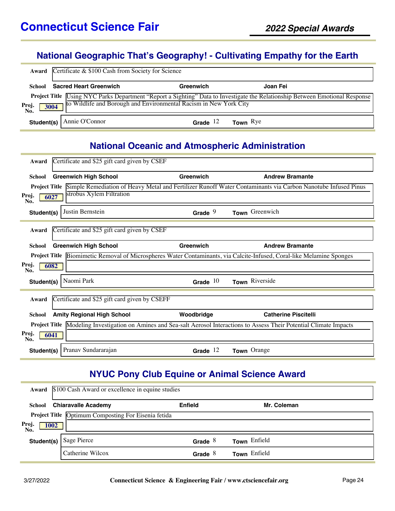### **National Geographic That's Geography! - Cultivating Empathy for the Earth**

| Award                | Certificate & \$100 Cash from Society for Science |                                                                   |                                                                                                                                     |  |  |  |
|----------------------|---------------------------------------------------|-------------------------------------------------------------------|-------------------------------------------------------------------------------------------------------------------------------------|--|--|--|
| School               | <b>Sacred Heart Greenwich</b>                     | Greenwich                                                         | Joan Fei                                                                                                                            |  |  |  |
| Proj.<br>No.<br>3004 |                                                   | to Wildlife and Borough and Environmental Racism in New York City | Project Title <i>Using NYC Parks Department</i> "Report a Sighting" Data to Investigate the Relationship Between Emotional Response |  |  |  |
|                      | Student(s)   Annie O'Connor                       | Grade $12$                                                        | <b>Town</b> $Rye$                                                                                                                   |  |  |  |

#### **National Oceanic and Atmospheric Administration**

| Award                | Certificate and \$25 gift card given by CSEF  |            |                                                                                                                            |
|----------------------|-----------------------------------------------|------------|----------------------------------------------------------------------------------------------------------------------------|
| <b>School</b>        | <b>Greenwich High School</b>                  | Greenwich  | <b>Andrew Bramante</b>                                                                                                     |
| <b>Project Title</b> |                                               |            | Simple Remediation of Heavy Metal and Fertilizer Runoff Water Contaminants via Carbon Nanotube Infused Pinus               |
| Proj.<br>No.         | strobus Xylem Filtration<br>6027              |            |                                                                                                                            |
| Student(s)           | Justin Bernstein                              | Grade $9$  | Town Greenwich                                                                                                             |
| Award                | Certificate and \$25 gift card given by CSEF  |            |                                                                                                                            |
| <b>School</b>        | <b>Greenwich High School</b>                  | Greenwich  | <b>Andrew Bramante</b>                                                                                                     |
|                      |                                               |            | Project Title Biomimetic Removal of Microspheres Water Contaminants, via Calcite-Infused, Coral-like Melamine Sponges      |
| Proj.<br>No.         | 6082                                          |            |                                                                                                                            |
| Student(s)           | Naomi Park                                    | Grade $10$ | Town Riverside                                                                                                             |
| Award                | Certificate and \$25 gift card given by CSEFF |            |                                                                                                                            |
| <b>School</b>        | <b>Amity Regional High School</b>             | Woodbridge | <b>Catherine Piscitelli</b>                                                                                                |
|                      |                                               |            | Project Title Modeling Investigation on Amines and Sea-salt Aerosol Interactions to Assess Their Potential Climate Impacts |
| Proj.<br>No.         | 6041                                          |            |                                                                                                                            |
| Student(s)           | Pranav Sundararajan                           | Grade $12$ | Town Orange                                                                                                                |

### **NYUC Pony Club Equine or Animal Science Award**

| Award                | \$100 Cash Award or excellence in equine studies    |                |              |  |  |
|----------------------|-----------------------------------------------------|----------------|--------------|--|--|
| School               | <b>Chiaravalle Academy</b>                          | <b>Enfield</b> | Mr. Coleman  |  |  |
|                      | Project Title Optimum Composting For Eisenia fetida |                |              |  |  |
| Proj.<br>1002<br>No. |                                                     |                |              |  |  |
| Student(s)           | Sage Pierce                                         | Grade $8$      | Town Enfield |  |  |
|                      | Catherine Wilcox                                    | Grade $8$      | Town Enfield |  |  |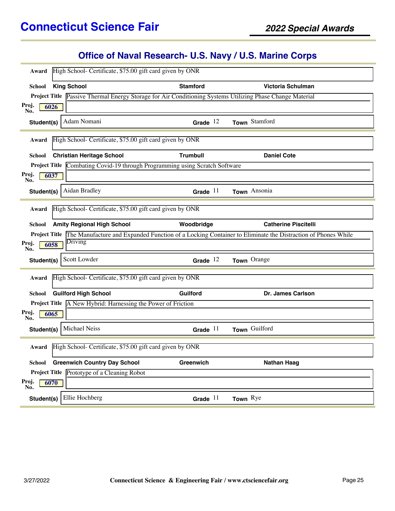## **Office of Naval Research- U.S. Navy / U.S. Marine Corps**

| Award                |                    | High School- Certificate, \$75.00 gift card given by ONR            |                 |                                                                                                                         |
|----------------------|--------------------|---------------------------------------------------------------------|-----------------|-------------------------------------------------------------------------------------------------------------------------|
|                      |                    |                                                                     |                 |                                                                                                                         |
| <b>School</b>        | <b>King School</b> |                                                                     | <b>Stamford</b> | Victoria Schulman                                                                                                       |
|                      |                    |                                                                     |                 | Project Title Passive Thermal Energy Storage for Air Conditioning Systems Utilizing Phase Change Material               |
| Proj.<br>No.         | 6026               |                                                                     |                 |                                                                                                                         |
| Student(s)           |                    | Adam Nomani                                                         | Grade $12$      | Town Stamford                                                                                                           |
| Award                |                    | High School- Certificate, \$75.00 gift card given by ONR            |                 |                                                                                                                         |
| <b>School</b>        |                    | <b>Christian Heritage School</b>                                    | <b>Trumbull</b> | <b>Daniel Cote</b>                                                                                                      |
| <b>Project Title</b> |                    | Combating Covid-19 through Programming using Scratch Software       |                 |                                                                                                                         |
| Proj.<br>No.         | 6037               |                                                                     |                 |                                                                                                                         |
| Student(s)           |                    | Aidan Bradley                                                       | Grade $11$      | Town Ansonia                                                                                                            |
| Award                |                    | High School- Certificate, \$75.00 gift card given by ONR            |                 |                                                                                                                         |
| <b>School</b>        |                    | <b>Amity Regional High School</b>                                   | Woodbridge      | <b>Catherine Piscitelli</b>                                                                                             |
|                      |                    |                                                                     |                 | Project Title The Manufacture and Expanded Function of a Locking Container to Eliminate the Distraction of Phones While |
| Proj.<br>No.         | 6058               | Driving                                                             |                 |                                                                                                                         |
| Student(s)           |                    | Scott Lowder                                                        | Grade $12$      | Town Orange                                                                                                             |
| Award                |                    | High School- Certificate, \$75.00 gift card given by ONR            |                 |                                                                                                                         |
| School               |                    | <b>Guilford High School</b>                                         | <b>Guilford</b> | Dr. James Carlson                                                                                                       |
|                      |                    | <b>Project Title</b> A New Hybrid: Harnessing the Power of Friction |                 |                                                                                                                         |
| Proj.<br>No.         | 6065               |                                                                     |                 |                                                                                                                         |
| Student(s)           |                    | Michael Neiss                                                       | Grade $11$      | Town Guilford                                                                                                           |
| Award                |                    | High School- Certificate, \$75.00 gift card given by ONR            |                 |                                                                                                                         |
| School               |                    | <b>Greenwich Country Day School</b>                                 | Greenwich       | <b>Nathan Haag</b>                                                                                                      |
|                      |                    | Project Title Prototype of a Cleaning Robot                         |                 |                                                                                                                         |
| Proj.<br>No.         | 6070               |                                                                     |                 |                                                                                                                         |
| Student(s)           |                    | Ellie Hochberg                                                      | Grade $11$      | Town Rye                                                                                                                |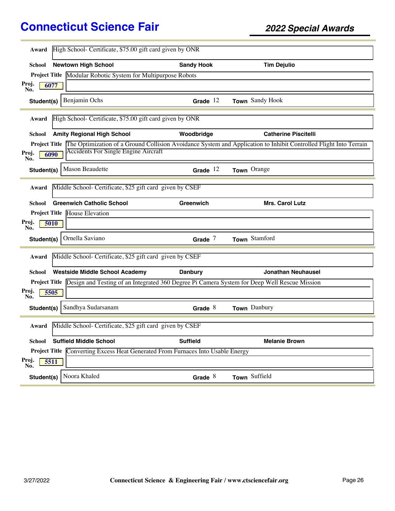| Award                | High School- Certificate, \$75.00 gift card given by ONR                                                   |                   |                                                                                                                   |
|----------------------|------------------------------------------------------------------------------------------------------------|-------------------|-------------------------------------------------------------------------------------------------------------------|
| School               | <b>Newtown High School</b>                                                                                 | <b>Sandy Hook</b> | <b>Tim Dejulio</b>                                                                                                |
|                      | Project Title Modular Robotic System for Multipurpose Robots                                               |                   |                                                                                                                   |
| Proj.<br>6077<br>No. |                                                                                                            |                   |                                                                                                                   |
| Student(s)           | Benjamin Ochs                                                                                              | Grade $12$        | Town Sandy Hook                                                                                                   |
| Award                | High School-Certificate, \$75.00 gift card given by ONR                                                    |                   |                                                                                                                   |
| School               | <b>Amity Regional High School</b>                                                                          | Woodbridge        | <b>Catherine Piscitelli</b>                                                                                       |
| <b>Project Title</b> |                                                                                                            |                   | The Optimization of a Ground Collision Avoidance System and Application to Inhibit Controlled Flight Into Terrain |
| Proj.<br>6090<br>No. | <b>Accidents For Single Engine Aircraft</b>                                                                |                   |                                                                                                                   |
| Student(s)           | Mason Beaudette                                                                                            | Grade $12$        | Town Orange                                                                                                       |
| Award                | Middle School- Certificate, \$25 gift card given by CSEF                                                   |                   |                                                                                                                   |
| School               | <b>Greenwich Catholic School</b>                                                                           | Greenwich         | Mrs. Carol Lutz                                                                                                   |
|                      | <b>Project Title House Elevation</b>                                                                       |                   |                                                                                                                   |
| Proj.<br>5010<br>No. |                                                                                                            |                   |                                                                                                                   |
| Student(s)           | Ornella Saviano                                                                                            | Grade $7$         | Town Stamford                                                                                                     |
| Award                | Middle School- Certificate, \$25 gift card given by CSEF                                                   |                   |                                                                                                                   |
| School               | <b>Westside Middle School Academy</b>                                                                      | <b>Danbury</b>    | <b>Jonathan Neuhausel</b>                                                                                         |
|                      | Project Title Design and Testing of an Integrated 360 Degree Pi Camera System for Deep Well Rescue Mission |                   |                                                                                                                   |
| Proj.<br>5505<br>No. |                                                                                                            |                   |                                                                                                                   |
| Student(s)           | Sandhya Sudarsanam                                                                                         | Grade $8$         | Town Danbury                                                                                                      |
| Award                | Middle School- Certificate, \$25 gift card given by CSEF                                                   |                   |                                                                                                                   |
| School               | <b>Suffield Middle School</b>                                                                              | <b>Suffield</b>   | <b>Melanie Brown</b>                                                                                              |
|                      | Project Title Converting Excess Heat Generated From Furnaces Into Usable Energy                            |                   |                                                                                                                   |
| Proj.<br>5511<br>No. |                                                                                                            |                   |                                                                                                                   |
| Student(s)           | Noora Khaled                                                                                               | Grade $8$         | Town Suffield                                                                                                     |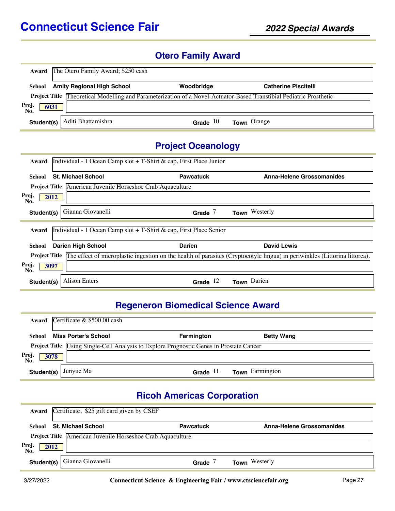#### **Otero Family Award**

| Award               | The Otero Family Award; \$250 cash |            |                                                                                                                            |
|---------------------|------------------------------------|------------|----------------------------------------------------------------------------------------------------------------------------|
| School              | <b>Amity Regional High School</b>  | Woodbridge | <b>Catherine Piscitelli</b>                                                                                                |
|                     |                                    |            | <b>Project Title Theoretical Modelling and Parameterization of a Novel-Actuator-Based Transtibial Pediatric Prosthetic</b> |
| Proj<br>6031<br>No. |                                    |            |                                                                                                                            |
| Student(s)          | Aditi Bhattamishra                 | Grade $10$ | <b>Town</b> Orange                                                                                                         |

### **Project Oceanology**

| Individual - 1 Ocean Camp slot + T-Shirt & cap, First Place Junior<br>Award |                                                            |                                                                    |                                                                                                                                                 |  |  |  |
|-----------------------------------------------------------------------------|------------------------------------------------------------|--------------------------------------------------------------------|-------------------------------------------------------------------------------------------------------------------------------------------------|--|--|--|
| School                                                                      | <b>St. Michael School</b>                                  | <b>Pawcatuck</b>                                                   | <b>Anna-Helene Grossomanides</b>                                                                                                                |  |  |  |
|                                                                             | Project Title American Juvenile Horseshoe Crab Aquaculture |                                                                    |                                                                                                                                                 |  |  |  |
| Proj.<br>2012<br>No.                                                        |                                                            |                                                                    |                                                                                                                                                 |  |  |  |
| Student(s)                                                                  | Gianna Giovanelli                                          | Grade $7$                                                          | Town Westerly                                                                                                                                   |  |  |  |
| Award                                                                       |                                                            | Individual - 1 Ocean Camp slot + T-Shirt & cap, First Place Senior |                                                                                                                                                 |  |  |  |
| School                                                                      | <b>Darien High School</b>                                  | <b>Darien</b>                                                      | David Lewis                                                                                                                                     |  |  |  |
|                                                                             |                                                            |                                                                    | <b>Project Title</b> The effect of microplastic ingestion on the health of parasites (Cryptocotyle lingua) in periwinkles (Littorina littorea). |  |  |  |
| Proj.<br>3097<br>No.                                                        |                                                            |                                                                    |                                                                                                                                                 |  |  |  |
| Student(s)                                                                  | <b>Alison Enters</b>                                       | Grade $12$                                                         | Town Darien                                                                                                                                     |  |  |  |

#### **Regeneron Biomedical Science Award**

|                      | Award Certificate & \$500.00 cash                                                              |                   |                   |  |
|----------------------|------------------------------------------------------------------------------------------------|-------------------|-------------------|--|
| School               | Miss Porter's School                                                                           | <b>Farmington</b> | <b>Betty Wang</b> |  |
| Proj.<br>No.<br>3078 | Project Title <i>Using Single-Cell Analysis</i> to Explore Prognostic Genes in Prostate Cancer |                   |                   |  |
| Student(s)           | Junyue Ma                                                                                      | Grade $11$        | Town Farmington   |  |

## **Ricoh Americas Corporation**

|                      | Award Certificate, \$25 gift card given by CSEF            |                  |                           |  |  |
|----------------------|------------------------------------------------------------|------------------|---------------------------|--|--|
| School               | <b>St. Michael School</b>                                  | <b>Pawcatuck</b> | Anna-Helene Grossomanides |  |  |
|                      | Project Title American Juvenile Horseshoe Crab Aquaculture |                  |                           |  |  |
| Proj.<br>No.<br>2012 |                                                            |                  |                           |  |  |
|                      | <b>Student(s)</b>   Gianna Giovanelli                      | Grade            | <b>Town</b> Westerly      |  |  |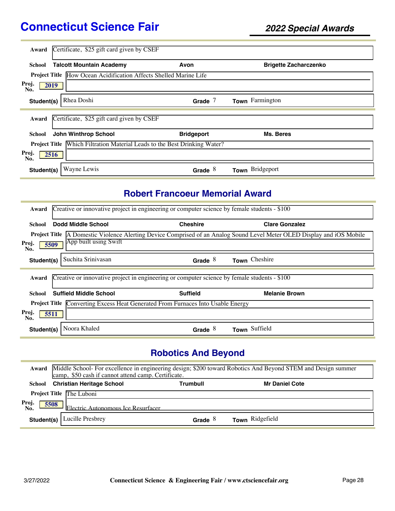| Award                | Certificate, \$25 gift card given by CSEF                                |                   |                              |
|----------------------|--------------------------------------------------------------------------|-------------------|------------------------------|
| School               | <b>Talcott Mountain Academy</b>                                          | Avon              | <b>Brigette Zacharczenko</b> |
|                      | <b>Project Title How Ocean Acidification Affects Shelled Marine Life</b> |                   |                              |
| Proj.<br>No.         | 2019                                                                     |                   |                              |
| Student(s)           | Rhea Doshi                                                               | Grade $7$         | Town Farmington              |
| Award                | Certificate, \$25 gift card given by CSEF                                |                   |                              |
| School               | <b>John Winthrop School</b>                                              | <b>Bridgeport</b> | Ms. Beres                    |
| <b>Project Title</b> | Which Filtration Material Leads to the Best Drinking Water?              |                   |                              |
| Proj.<br>No.         | 2516                                                                     |                   |                              |
| Student(s)           | Wayne Lewis                                                              | Grade $8$         | Town Bridgeport              |

### **Robert Francoeur Memorial Award**

| Award                                                                                     | Creative or innovative project in engineering or computer science by female students - \$100 |                                                                                              |                                                                                                          |  |  |  |
|-------------------------------------------------------------------------------------------|----------------------------------------------------------------------------------------------|----------------------------------------------------------------------------------------------|----------------------------------------------------------------------------------------------------------|--|--|--|
| School                                                                                    | <b>Dodd Middle School</b>                                                                    | <b>Cheshire</b>                                                                              | <b>Clare Gonzalez</b>                                                                                    |  |  |  |
| <b>Project Title</b>                                                                      |                                                                                              |                                                                                              | A Domestic Violence Alerting Device Comprised of an Analog Sound Level Meter OLED Display and iOS Mobile |  |  |  |
| Proj.<br>No.                                                                              | App built using Swift<br>5509                                                                |                                                                                              |                                                                                                          |  |  |  |
| Student(s)                                                                                | Suchita Srinivasan                                                                           | Grade $8$                                                                                    | Town Cheshire                                                                                            |  |  |  |
|                                                                                           |                                                                                              |                                                                                              |                                                                                                          |  |  |  |
| Award                                                                                     |                                                                                              | Creative or innovative project in engineering or computer science by female students - \$100 |                                                                                                          |  |  |  |
| School                                                                                    | <b>Suffield Middle School</b>                                                                | <b>Suffield</b>                                                                              | <b>Melanie Brown</b>                                                                                     |  |  |  |
| Converting Excess Heat Generated From Furnaces Into Usable Energy<br><b>Project Title</b> |                                                                                              |                                                                                              |                                                                                                          |  |  |  |
| Proj.<br>No.                                                                              | 5511                                                                                         |                                                                                              |                                                                                                          |  |  |  |
| Student(s)                                                                                | Noora Khaled                                                                                 | Grade $8$                                                                                    | Town Suffield                                                                                            |  |  |  |

# **Robotics And Beyond**

|              | Award Middle School- For excellence in engineering design; \$200 toward Robotics And Beyond STEM and Design summer<br>camp, \$50 cash if cannot attend camp. Certificate. |           |                       |  |  |
|--------------|---------------------------------------------------------------------------------------------------------------------------------------------------------------------------|-----------|-----------------------|--|--|
|              | School Christian Heritage School                                                                                                                                          | Trumbull  | <b>Mr Daniel Cote</b> |  |  |
|              | Project Title The Luboni                                                                                                                                                  |           |                       |  |  |
| Proj.<br>No. | 5508<br>Electric Autonomous Ice Resurfacer                                                                                                                                |           |                       |  |  |
|              | <b>Student(s)</b>   Lucille Presbrey                                                                                                                                      | Grade $8$ | Town Ridgefield       |  |  |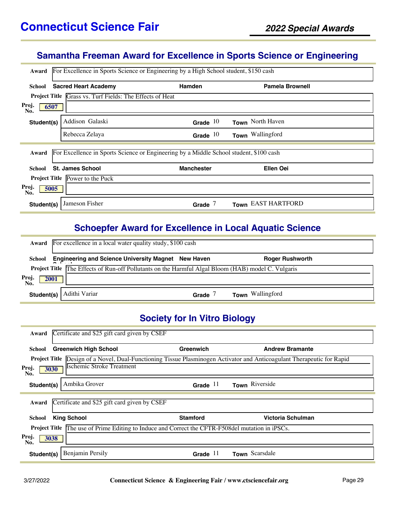#### **Samantha Freeman Award for Excellence in Sports Science or Engineering**

| For Excellence in Sports Science or Engineering by a High School student, \$150 cash<br>Award |                                                                 |                                                                                        |                        |  |  |
|-----------------------------------------------------------------------------------------------|-----------------------------------------------------------------|----------------------------------------------------------------------------------------|------------------------|--|--|
| School                                                                                        | <b>Sacred Heart Academy</b>                                     | <b>Hamden</b>                                                                          | <b>Pamela Brownell</b> |  |  |
|                                                                                               | <b>Project Title Grass vs. Turf Fields: The Effects of Heat</b> |                                                                                        |                        |  |  |
| Proj.<br>6507<br>No.                                                                          |                                                                 |                                                                                        |                        |  |  |
| Student(s)                                                                                    | Addison Galaski                                                 | Grade $10$                                                                             | Town North Haven       |  |  |
|                                                                                               | Rebecca Zelaya                                                  | Grade $10$                                                                             | Town Wallingford       |  |  |
| Award                                                                                         |                                                                 | For Excellence in Sports Science or Engineering by a Middle School student, \$100 cash |                        |  |  |
| <b>School</b>                                                                                 | <b>St. James School</b>                                         | <b>Manchester</b>                                                                      | <b>Ellen Oei</b>       |  |  |
|                                                                                               | <b>Project Title Power to the Puck</b>                          |                                                                                        |                        |  |  |
| Proj.<br>5005<br>No.                                                                          |                                                                 |                                                                                        |                        |  |  |
| Student(s)                                                                                    | Jameson Fisher                                                  | Grade $7$                                                                              | Town EAST HARTFORD     |  |  |

#### **Schoepfer Award for Excellence in Local Aquatic Science**

|                     | <b>Award</b> For excellence in a local water quality study, \$100 cash                                    |       |                        |  |  |
|---------------------|-----------------------------------------------------------------------------------------------------------|-------|------------------------|--|--|
| School              | <b>Engineering and Science University Magnet New Haven</b>                                                |       | <b>Roger Rushworth</b> |  |  |
| Proj<br>2001<br>No. | <b>Project Title The Effects of Run-off Pollutants on the Harmful Algal Bloom (HAB) model C. Vulgaris</b> |       |                        |  |  |
| Student(s)          | l Adithi Variar                                                                                           | Grade | Town Wallingford       |  |  |

#### **Society for In Vitro Biology**

| Certificate and \$25 gift card given by CSEF<br>Award                                                                         |                 |                        |  |  |  |
|-------------------------------------------------------------------------------------------------------------------------------|-----------------|------------------------|--|--|--|
| <b>Greenwich High School</b><br>School                                                                                        | Greenwich       | <b>Andrew Bramante</b> |  |  |  |
| <b>Project Title</b> Design of a Novel, Dual-Functioning Tissue Plasminogen Activator and Anticoagulant Therapeutic for Rapid |                 |                        |  |  |  |
| <b>Ischemic Stroke Treatment</b><br>Proj.<br>3030<br>No.                                                                      |                 |                        |  |  |  |
| Ambika Grover<br>Student(s)                                                                                                   | Grade $11$      | Town Riverside         |  |  |  |
|                                                                                                                               |                 |                        |  |  |  |
| Certificate and \$25 gift card given by CSEF<br>Award                                                                         |                 |                        |  |  |  |
| <b>King School</b><br>School                                                                                                  | <b>Stamford</b> | Victoria Schulman      |  |  |  |
| The use of Prime Editing to Induce and Correct the CFTR-F508del mutation in iPSCs.<br><b>Project Title</b>                    |                 |                        |  |  |  |
| Proj.<br>3038<br>No.                                                                                                          |                 |                        |  |  |  |
| Benjamin Persily<br>Student(s)                                                                                                | Grade $11$      | Town Scarsdale         |  |  |  |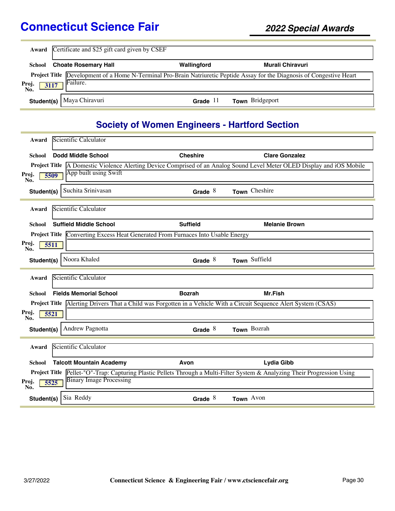|                      | Award Certificate and \$25 gift card given by CSEF |             |                                                                                                                          |  |  |
|----------------------|----------------------------------------------------|-------------|--------------------------------------------------------------------------------------------------------------------------|--|--|
| School               | <b>Choate Rosemary Hall</b>                        | Wallingford | Murali Chiravuri                                                                                                         |  |  |
| Proj.<br>No.<br>3117 | Failure.                                           |             | Project Title Development of a Home N-Terminal Pro-Brain Natriuretic Peptide Assay for the Diagnosis of Congestive Heart |  |  |
|                      | Student(s)   Maya Chiravuri                        | Grade $11$  | Town Bridgeport                                                                                                          |  |  |

## **Society of Women Engineers - Hartford Section**

| Award                | Scientific Calculator           |                                                                                 |                                                                                                                                   |
|----------------------|---------------------------------|---------------------------------------------------------------------------------|-----------------------------------------------------------------------------------------------------------------------------------|
| School               | <b>Dodd Middle School</b>       | <b>Cheshire</b>                                                                 | <b>Clare Gonzalez</b>                                                                                                             |
|                      | App built using Swift           |                                                                                 | <b>Project Title</b> A Domestic Violence Alerting Device Comprised of an Analog Sound Level Meter OLED Display and iOS Mobile     |
| Proj.<br>No.         | 5509                            |                                                                                 |                                                                                                                                   |
| Student(s)           | Suchita Srinivasan              | Grade $8$                                                                       | Town Cheshire                                                                                                                     |
| Award                | Scientific Calculator           |                                                                                 |                                                                                                                                   |
| School               | <b>Suffield Middle School</b>   | <b>Suffield</b>                                                                 | <b>Melanie Brown</b>                                                                                                              |
|                      |                                 | Project Title Converting Excess Heat Generated From Furnaces Into Usable Energy |                                                                                                                                   |
| Proj.<br>5511<br>No. |                                 |                                                                                 |                                                                                                                                   |
| Student(s)           | Noora Khaled                    | Grade $8$                                                                       | Town Suffield                                                                                                                     |
| Award                | Scientific Calculator           |                                                                                 |                                                                                                                                   |
|                      |                                 |                                                                                 |                                                                                                                                   |
| School               | <b>Fields Memorial School</b>   | <b>Bozrah</b>                                                                   | Mr.Fish                                                                                                                           |
| Proj.<br>5521        |                                 |                                                                                 | <b>Project Title</b> Alerting Drivers That a Child was Forgotten in a Vehicle With a Circuit Sequence Alert System (CSAS)         |
| No.                  |                                 |                                                                                 |                                                                                                                                   |
| Student(s)           | <b>Andrew Pagnotta</b>          | Grade $8$                                                                       | Town Bozrah                                                                                                                       |
| Award                | Scientific Calculator           |                                                                                 |                                                                                                                                   |
| <b>School</b>        | <b>Talcott Mountain Academy</b> | Avon                                                                            | Lydia Gibb                                                                                                                        |
|                      | <b>Binary Image Processing</b>  |                                                                                 | <b>Project Title</b> Pellet-"O"-Trap: Capturing Plastic Pellets Through a Multi-Filter System & Analyzing Their Progression Using |
| Proj.<br>5525<br>No. |                                 |                                                                                 |                                                                                                                                   |
| Student(s)           | Sia Reddy                       | Grade $8$                                                                       | Town Avon                                                                                                                         |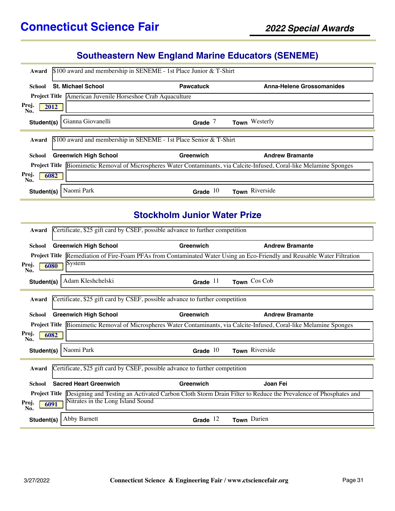#### **Southeastern New England Marine Educators (SENEME)**

| $$100$ award and membership in SENEME - 1st Place Junior & T-Shirt<br>Award                                                  |                                                                   |                                  |  |  |  |
|------------------------------------------------------------------------------------------------------------------------------|-------------------------------------------------------------------|----------------------------------|--|--|--|
| <b>St. Michael School</b><br>School                                                                                          | <b>Pawcatuck</b>                                                  | <b>Anna-Helene Grossomanides</b> |  |  |  |
| <b>Project Title</b><br>American Juvenile Horseshoe Crab Aquaculture                                                         |                                                                   |                                  |  |  |  |
| Proj.<br>2012<br>No.                                                                                                         |                                                                   |                                  |  |  |  |
| Gianna Giovanelli<br>Student(s)                                                                                              | Grade $7$                                                         | Town Westerly                    |  |  |  |
| Award                                                                                                                        | \$100 award and membership in SENEME - 1st Place Senior & T-Shirt |                                  |  |  |  |
| <b>Greenwich High School</b><br>School                                                                                       | Greenwich                                                         | <b>Andrew Bramante</b>           |  |  |  |
| <b>Project Title</b> Biomimetic Removal of Microspheres Water Contaminants, via Calcite-Infused, Coral-like Melamine Sponges |                                                                   |                                  |  |  |  |
| Proj.<br>6082<br>No.                                                                                                         |                                                                   |                                  |  |  |  |
| Naomi Park<br>Student(s)                                                                                                     | Grade $10$                                                        | Town Riverside                   |  |  |  |

#### **Stockholm Junior Water Prize**

| Award                                                                                 | Certificate, \$25 gift card by CSEF, possible advance to further competition |            |                                                                                                                              |  |  |  |
|---------------------------------------------------------------------------------------|------------------------------------------------------------------------------|------------|------------------------------------------------------------------------------------------------------------------------------|--|--|--|
| School                                                                                | <b>Greenwich High School</b>                                                 | Greenwich  | <b>Andrew Bramante</b>                                                                                                       |  |  |  |
|                                                                                       |                                                                              |            | Project Title Remediation of Fire-Foam PFAs from Contaminated Water Using an Eco-Friendly and Reusable Water Filtration      |  |  |  |
| Proj.<br>No.                                                                          | System<br>6080                                                               |            |                                                                                                                              |  |  |  |
| Student(s)                                                                            | Adam Kleshchelski                                                            | Grade $11$ | Town Cos Cob                                                                                                                 |  |  |  |
| Award                                                                                 | Certificate, \$25 gift card by CSEF, possible advance to further competition |            |                                                                                                                              |  |  |  |
| School                                                                                | <b>Greenwich High School</b>                                                 | Greenwich  | <b>Andrew Bramante</b>                                                                                                       |  |  |  |
|                                                                                       |                                                                              |            | Project Title Biomimetic Removal of Microspheres Water Contaminants, via Calcite-Infused, Coral-like Melamine Sponges        |  |  |  |
| Proj.<br>No.                                                                          | 6082                                                                         |            |                                                                                                                              |  |  |  |
| Student(s)                                                                            | Naomi Park                                                                   | Grade $10$ | Town Riverside                                                                                                               |  |  |  |
| Certificate, \$25 gift card by CSEF, possible advance to further competition<br>Award |                                                                              |            |                                                                                                                              |  |  |  |
| <b>School</b>                                                                         | <b>Sacred Heart Greenwich</b>                                                | Greenwich  | Joan Fei                                                                                                                     |  |  |  |
|                                                                                       |                                                                              |            | Project Title  Designing and Testing an Activated Carbon Cloth Storm Drain Filter to Reduce the Prevalence of Phosphates and |  |  |  |
| Proj.<br>No.                                                                          | Nitrates in the Long Island Sound<br>6091                                    |            |                                                                                                                              |  |  |  |
| Student(s)                                                                            | Abby Barnett                                                                 | Grade $12$ | Town Darien                                                                                                                  |  |  |  |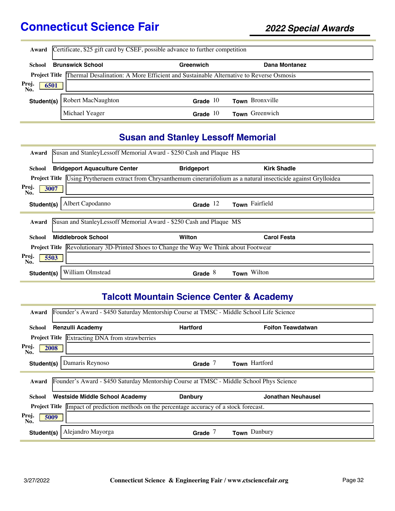| Award                | Certificate, \$25 gift card by CSEF, possible advance to further competition                               |            |                 |  |  |
|----------------------|------------------------------------------------------------------------------------------------------------|------------|-----------------|--|--|
| School               | <b>Brunswick School</b>                                                                                    | Greenwich  | Dana Montanez   |  |  |
|                      | <b>Project Title Thermal Desalination: A More Efficient and Sustainable Alternative to Reverse Osmosis</b> |            |                 |  |  |
| Proj.<br>6501<br>No. |                                                                                                            |            |                 |  |  |
| Student(s)           | <b>Robert MacNaughton</b>                                                                                  | Grade $10$ | Town Bronxville |  |  |
|                      | Michael Yeager                                                                                             | Grade $10$ | Town Greenwich  |  |  |

## **Susan and Stanley Lessoff Memorial**

| Award                                                                                         | Susan and Stanley Lessoff Memorial Award - \$250 Cash and Plaque HS |                                                                    |                                                                                                                              |  |  |
|-----------------------------------------------------------------------------------------------|---------------------------------------------------------------------|--------------------------------------------------------------------|------------------------------------------------------------------------------------------------------------------------------|--|--|
| School                                                                                        | <b>Bridgeport Aquaculture Center</b>                                | <b>Bridgeport</b>                                                  | <b>Kirk Shadle</b>                                                                                                           |  |  |
|                                                                                               |                                                                     |                                                                    | <b>Project Title</b> Using Prytheruem extract from Chrysanthemum cinerariifolium as a natural insecticide against Grylloidea |  |  |
| Proj.<br>No.                                                                                  | 3007                                                                |                                                                    |                                                                                                                              |  |  |
| Student(s)                                                                                    | Albert Capodanno                                                    | Grade $12$                                                         | Town Fairfield                                                                                                               |  |  |
| Award                                                                                         |                                                                     | Susan and StanleyLessoff Memorial Award - \$250 Cash and Plaque MS |                                                                                                                              |  |  |
|                                                                                               |                                                                     |                                                                    |                                                                                                                              |  |  |
| School                                                                                        | <b>Middlebrook School</b>                                           | Wilton                                                             | <b>Carol Festa</b>                                                                                                           |  |  |
| <b>Project Title Revolutionary 3D-Printed Shoes to Change the Way We Think about Footwear</b> |                                                                     |                                                                    |                                                                                                                              |  |  |
| Proj.<br>5503<br>No.                                                                          |                                                                     |                                                                    |                                                                                                                              |  |  |
| Student(s)                                                                                    | William Olmstead                                                    | Grade $8$                                                          | Wilton<br>Town                                                                                                               |  |  |

## **Talcott Mountain Science Center & Academy**

| Founder's Award - \$450 Saturday Mentorship Course at TMSC - Middle School Life Science<br>Award  |                 |                          |  |  |  |
|---------------------------------------------------------------------------------------------------|-----------------|--------------------------|--|--|--|
| <b>Renzulli Academy</b><br>School                                                                 | <b>Hartford</b> | <b>Foifon Teawdatwan</b> |  |  |  |
| <b>Project Title</b> Extracting DNA from strawberries                                             |                 |                          |  |  |  |
| Proj.<br>2008<br>No.                                                                              |                 |                          |  |  |  |
| Damaris Reynoso<br>Student(s)                                                                     | Grade $7$       | Town Hartford            |  |  |  |
| Founder's Award - \$450 Saturday Mentorship Course at TMSC - Middle School Phys Science<br>Award  |                 |                          |  |  |  |
| Westside Middle School Academy<br>School                                                          | <b>Danbury</b>  | Jonathan Neuhausel       |  |  |  |
| <b>Project Title</b> Impact of prediction methods on the percentage accuracy of a stock forecast. |                 |                          |  |  |  |
| Proj.<br>5009<br>No.                                                                              |                 |                          |  |  |  |
| Alejandro Mayorga<br>Student(s)                                                                   | Grade           | Danbury                  |  |  |  |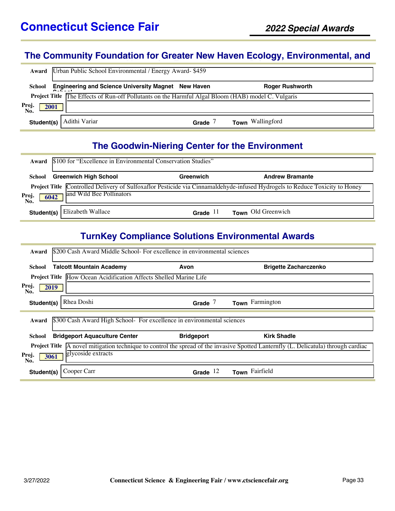#### **The Community Foundation for Greater New Haven Ecology, Environmental, and**

| Award                | Urban Public School Environmental / Energy Award-\$459                                                    |       |                  |  |  |  |  |
|----------------------|-----------------------------------------------------------------------------------------------------------|-------|------------------|--|--|--|--|
| School               | Engineering and Science University Magnet New Haven<br><b>Roger Rushworth</b>                             |       |                  |  |  |  |  |
|                      | <b>Project Title</b> The Effects of Run-off Pollutants on the Harmful Algal Bloom (HAB) model C. Vulgaris |       |                  |  |  |  |  |
| Proj.<br>No.<br>2001 |                                                                                                           |       |                  |  |  |  |  |
| Student(s)           | Adithi Variar                                                                                             | Grade | Town Wallingford |  |  |  |  |

#### **The Goodwin-Niering Center for the Environment**

|                                                                                                                                                                                | Award \$100 for "Excellence in Environmental Conservation Studies" |            |                        |  |
|--------------------------------------------------------------------------------------------------------------------------------------------------------------------------------|--------------------------------------------------------------------|------------|------------------------|--|
| School                                                                                                                                                                         | <b>Greenwich High School</b>                                       | Greenwich  | <b>Andrew Bramante</b> |  |
| Project Title Controlled Delivery of Sulfoxaflor Pesticide via Cinnamaldehyde-infused Hydrogels to Reduce Toxicity to Honey<br>and Wild Bee Pollinators<br>Proj<br>6042<br>No. |                                                                    |            |                        |  |
|                                                                                                                                                                                | <b>Student(s)</b>   Elizabeth Wallace                              | Grade $11$ | Town Old Greenwich     |  |

#### **TurnKey Compliance Solutions Environmental Awards**

| \$200 Cash Award Middle School- For excellence in environmental sciences<br>Award                                                             |                   |                              |  |  |
|-----------------------------------------------------------------------------------------------------------------------------------------------|-------------------|------------------------------|--|--|
| <b>Talcott Mountain Academy</b><br>School                                                                                                     | Avon              | <b>Brigette Zacharczenko</b> |  |  |
| Project Title How Ocean Acidification Affects Shelled Marine Life                                                                             |                   |                              |  |  |
| Proj.<br>2019<br>No.                                                                                                                          |                   |                              |  |  |
| Rhea Doshi<br>Student(s)                                                                                                                      | Grade $7$         | Town Farmington              |  |  |
| \$300 Cash Award High School- For excellence in environmental sciences                                                                        |                   |                              |  |  |
| Award                                                                                                                                         |                   |                              |  |  |
| <b>Bridgeport Aquaculture Center</b><br>School                                                                                                | <b>Bridgeport</b> | <b>Kirk Shadle</b>           |  |  |
| A novel mitigation technique to control the spread of the invasive Spotted Lanternfly (L. Delicatula) through cardiac<br><b>Project Title</b> |                   |                              |  |  |
| glycoside extracts<br>Proj.<br>3061<br>No.                                                                                                    |                   |                              |  |  |
| Cooper Carr<br>Student(s)                                                                                                                     | Grade $12$        | Town Fairfield               |  |  |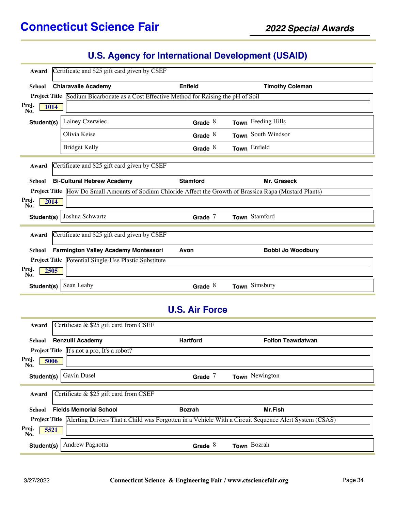| Award                | Certificate and \$25 gift card given by CSEF                                                              |                 |                          |
|----------------------|-----------------------------------------------------------------------------------------------------------|-----------------|--------------------------|
| <b>School</b>        | <b>Chiaravalle Academy</b>                                                                                | <b>Enfield</b>  | <b>Timothy Coleman</b>   |
| <b>Project Title</b> | Sodium Bicarbonate as a Cost Effective Method for Raising the pH of Soil                                  |                 |                          |
| Proj.<br>1014<br>No. |                                                                                                           |                 |                          |
| Student(s)           | Lainey Czerwiec                                                                                           | Grade $8$       | Town Feeding Hills       |
|                      | Olivia Keise                                                                                              | Grade $8$       | Town South Windsor       |
|                      | <b>Bridget Kelly</b>                                                                                      | Grade $8$       | Town Enfield             |
| Award                | Certificate and \$25 gift card given by CSEF                                                              |                 |                          |
| <b>School</b>        | <b>Bi-Cultural Hebrew Academy</b>                                                                         | <b>Stamford</b> | Mr. Graseck              |
|                      | Project Title How Do Small Amounts of Sodium Chloride Affect the Growth of Brassica Rapa (Mustard Plants) |                 |                          |
| Proj.<br>2014<br>No. |                                                                                                           |                 |                          |
| Student(s)           | Joshua Schwartz                                                                                           | Grade $7$       | Town Stamford            |
| Award                | Certificate and \$25 gift card given by CSEF                                                              |                 |                          |
| <b>School</b>        | <b>Farmington Valley Academy Montessori</b>                                                               | Avon            | <b>Bobbi Jo Woodbury</b> |
|                      | Project Title Potential Single-Use Plastic Substitute                                                     |                 |                          |
| Proj.<br>2505<br>No. |                                                                                                           |                 |                          |
| Student(s)           | Sean Leahy                                                                                                | Grade $8$       | Town Simsbury            |

### **U.S. Air Force**

| Award                                                                                                                        | Certificate & \$25 gift card from CSEF                                        |                 |                          |  |
|------------------------------------------------------------------------------------------------------------------------------|-------------------------------------------------------------------------------|-----------------|--------------------------|--|
| School                                                                                                                       | <b>Renzulli Academy</b>                                                       | <b>Hartford</b> | <b>Foifon Teawdatwan</b> |  |
|                                                                                                                              | <b>Project Title</b> $\overline{\text{It's not a pro}, \text{It's a robot?}}$ |                 |                          |  |
| Proj.<br>5006<br>No.                                                                                                         |                                                                               |                 |                          |  |
| Student(s)                                                                                                                   | Gavin Dusel                                                                   | Grade $7$       | Town Newington           |  |
| Certificate & \$25 gift card from CSEF<br>Award                                                                              |                                                                               |                 |                          |  |
| School                                                                                                                       | <b>Fields Memorial School</b>                                                 | <b>Bozrah</b>   | Mr.Fish                  |  |
| Alerting Drivers That a Child was Forgotten in a Vehicle With a Circuit Sequence Alert System (CSAS)<br><b>Project Title</b> |                                                                               |                 |                          |  |
| Proj.<br>5521<br>No.                                                                                                         |                                                                               |                 |                          |  |
| Student(s)                                                                                                                   | <b>Andrew Pagnotta</b>                                                        | Grade $8$       | Town Bozrah              |  |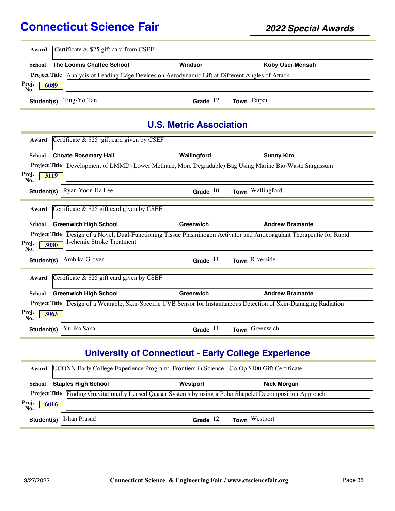|                      | <b>Award</b> Certificate $\&$ $\sqrt{25}$ gift card from CSEF                                           |            |                  |  |
|----------------------|---------------------------------------------------------------------------------------------------------|------------|------------------|--|
| <b>School</b>        | The Loomis Chaffee School                                                                               | Windsor    | Koby Osei-Mensah |  |
|                      | <b>Project Title</b> Analysis of Leading-Edge Devices on Aerodynamic Lift at Different Angles of Attack |            |                  |  |
| Proj.<br>No.<br>6089 |                                                                                                         |            |                  |  |
| Student(s)           | Ting-Yo Tan                                                                                             | Grade $12$ | Town Taipei      |  |

#### **U.S. Metric Association**

| Award         | Certificate $&$ \$25 gift card given by CSEF                                                                               |             |                        |
|---------------|----------------------------------------------------------------------------------------------------------------------------|-------------|------------------------|
| <b>School</b> | <b>Choate Rosemary Hall</b>                                                                                                | Wallingford | <b>Sunny Kim</b>       |
|               | Project Title Development of LMMD (Lower Methane, More Degradable) Bag Using Marine Bio-Waste Sargassum                    |             |                        |
| Proj.<br>No.  | 3119                                                                                                                       |             |                        |
| Student(s)    | Ryan Yoon Ha Lee                                                                                                           | Grade $10$  | Town Wallingford       |
| Award         | Certificate $\&$ \$25 gift card given by CSEF                                                                              |             |                        |
|               |                                                                                                                            |             |                        |
| School        | <b>Greenwich High School</b>                                                                                               | Greenwich   | <b>Andrew Bramante</b> |
|               | Project Title Design of a Novel, Dual-Functioning Tissue Plasminogen Activator and Anticoagulant Therapeutic for Rapid     |             |                        |
| Proj.<br>No.  | <b>Ischemic Stroke Treatment</b><br>3030                                                                                   |             |                        |
| Student(s)    | Ambika Grover                                                                                                              | Grade $11$  | Town Riverside         |
|               |                                                                                                                            |             |                        |
| Award         | Certificate $\&$ \$25 gift card given by CSEF                                                                              |             |                        |
| <b>School</b> | <b>Greenwich High School</b>                                                                                               | Greenwich   | <b>Andrew Bramante</b> |
|               | <b>Project Title</b> Design of a Wearable, Skin-Specific UVB Sensor for Instantaneous Detection of Skin-Damaging Radiation |             |                        |
| Proj.<br>No.  | 3063                                                                                                                       |             |                        |
| Student(s)    | Yurika Sakai                                                                                                               | Grade $11$  | Town Greenwich         |

# **University of Connecticut - Early College Experience**

|                      | Award UCONN Early College Experience Program: Frontiers in Science - Co-Op \$100 Gift Certificate |            |                                                                                                              |  |
|----------------------|---------------------------------------------------------------------------------------------------|------------|--------------------------------------------------------------------------------------------------------------|--|
|                      | <b>School</b> Staples High School                                                                 | Westport   | Nick Morgan                                                                                                  |  |
|                      |                                                                                                   |            | Project Title Finding Gravitationally Lensed Quasar Systems by using a Polar Shapelet Decomposition Approach |  |
| Proj.<br>No.<br>6016 |                                                                                                   |            |                                                                                                              |  |
| Student(s)           | Ishan Prasad                                                                                      | Grade $12$ | <b>Town</b> Westport                                                                                         |  |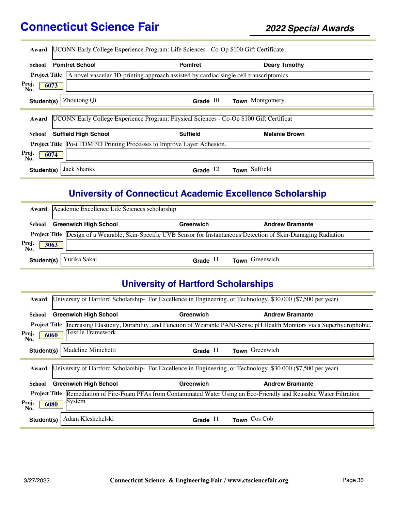| Award                                                                          | UCONN Early College Experience Program: Life Sciences - Co-Op \$100 Gift Certificate    |                 |                      |  |
|--------------------------------------------------------------------------------|-----------------------------------------------------------------------------------------|-----------------|----------------------|--|
| School                                                                         | <b>Pomfret School</b>                                                                   | <b>Pomfret</b>  | <b>Deary Timothy</b> |  |
| <b>Project Title</b>                                                           | A novel vascular 3D-printing approach assisted by cardiac single cell transcriptomics   |                 |                      |  |
| Proj.<br>6073<br>No.                                                           |                                                                                         |                 |                      |  |
| Student(s)                                                                     | Zhoutong Qi                                                                             | Grade $10$      | Town Montgomery      |  |
| Award                                                                          | UCONN Early College Experience Program: Physical Sciences - Co-Op \$100 Gift Certificat |                 |                      |  |
| School                                                                         | <b>Suffield High School</b>                                                             | <b>Suffield</b> | <b>Melanie Brown</b> |  |
| <b>Project Title</b> Post FDM 3D Printing Processes to Improve Layer Adhesion. |                                                                                         |                 |                      |  |
| Proj.<br>6074<br>No.                                                           |                                                                                         |                 |                      |  |
| Student(s)                                                                     | Jack Shanks                                                                             | Grade $12$      | Town Suffield        |  |

#### **University of Connecticut Academic Excellence Scholarship**

| Award                | Academic Excellence Life Sciences scholarship |            |                                                                                                                            |  |
|----------------------|-----------------------------------------------|------------|----------------------------------------------------------------------------------------------------------------------------|--|
| School               | <b>Greenwich High School</b>                  | Greenwich  | <b>Andrew Bramante</b>                                                                                                     |  |
|                      |                                               |            | <b>Project Title</b> Design of a Wearable, Skin-Specific UVB Sensor for Instantaneous Detection of Skin-Damaging Radiation |  |
| Proj.<br>No.<br>3063 |                                               |            |                                                                                                                            |  |
| Student(s)           | Yurika Sakai                                  | Grade $11$ | Town Greenwich                                                                                                             |  |

## **University of Hartford Scholarships**

| Award                | [University of Hartford Scholarship- For Excellence in Engineering, or Technology, \$30,000 (\$7,500 per year) |            |                                                                                                                   |  |
|----------------------|----------------------------------------------------------------------------------------------------------------|------------|-------------------------------------------------------------------------------------------------------------------|--|
| School               | <b>Greenwich High School</b>                                                                                   | Greenwich  | <b>Andrew Bramante</b>                                                                                            |  |
| <b>Project Title</b> |                                                                                                                |            | Increasing Elasticity, Durability, and Function of Wearable PANI-Sense pH Health Monitors via a Superhydrophobic, |  |
| Proj.<br>6060<br>No. | Textile Framework                                                                                              |            |                                                                                                                   |  |
| Student(s)           | Madeline Minichetti                                                                                            | Grade $11$ | Town Greenwich                                                                                                    |  |
| Award                |                                                                                                                |            | University of Hartford Scholarship- For Excellence in Engineering, or Technology, \$30,000 (\$7,500 per year)     |  |
|                      |                                                                                                                |            |                                                                                                                   |  |
| School               | <b>Greenwich High School</b>                                                                                   | Greenwich  | <b>Andrew Bramante</b>                                                                                            |  |
| <b>Project Title</b> |                                                                                                                |            | Remediation of Fire-Foam PFAs from Contaminated Water Using an Eco-Friendly and Reusable Water Filtration         |  |
| Proj.<br>No.         | System<br>6080                                                                                                 |            |                                                                                                                   |  |
| Student(s)           | Adam Kleshchelski                                                                                              | Grade $11$ | Town Cos Cob                                                                                                      |  |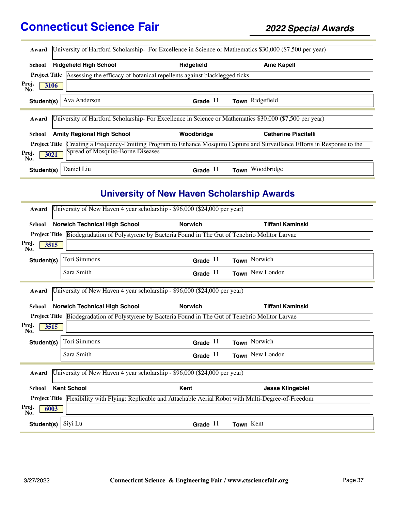| Award                                |                                           |                                                                          | University of Hartford Scholarship- For Excellence in Science or Mathematics \$30,000 (\$7,500 per year)      |
|--------------------------------------|-------------------------------------------|--------------------------------------------------------------------------|---------------------------------------------------------------------------------------------------------------|
| School                               | <b>Ridgefield High School</b>             | Ridgefield                                                               | <b>Aine Kapell</b>                                                                                            |
| <b>Project Title</b>                 |                                           | Assessing the efficacy of botanical repellents against blacklegged ticks |                                                                                                               |
| Proj.<br>No.                         | 3106                                      |                                                                          |                                                                                                               |
| Student(s)                           | Ava Anderson                              | Grade $11$                                                               | Town Ridgefield                                                                                               |
| Award                                |                                           |                                                                          | University of Hartford Scholarship-For Excellence in Science or Mathematics \$30,000 (\$7,500 per year)       |
| School                               | <b>Amity Regional High School</b>         | Woodbridge                                                               | <b>Catherine Piscitelli</b>                                                                                   |
| <b>Project Title</b><br>Proj.<br>No. | Spread of Mosquito-Borne Diseases<br>3021 |                                                                          | Creating a Frequency-Emitting Program to Enhance Mosquito Capture and Surveillance Efforts in Response to the |
| Student(s)                           | Daniel Liu                                | Grade $11$                                                               | Woodbridge<br><b>Town</b>                                                                                     |

## **University of New Haven Scholarship Awards**

| Award         | University of New Haven 4 year scholarship - \$96,000 (\$24,000 per year) |                    |                                      |                                                                                                            |           |                         |
|---------------|---------------------------------------------------------------------------|--------------------|--------------------------------------|------------------------------------------------------------------------------------------------------------|-----------|-------------------------|
| <b>School</b> |                                                                           |                    | <b>Norwich Technical High School</b> | <b>Norwich</b>                                                                                             |           | Tiffani Kaminski        |
|               |                                                                           |                    |                                      | Project Title Biodegradation of Polystyrene by Bacteria Found in The Gut of Tenebrio Molitor Larvae        |           |                         |
| Proj.<br>No.  | 3515                                                                      |                    |                                      |                                                                                                            |           |                         |
| Student(s)    |                                                                           | Tori Simmons       |                                      | Grade $11$                                                                                                 |           | Town Norwich            |
|               |                                                                           | Sara Smith         |                                      | Grade $11$                                                                                                 |           | Town New London         |
| Award         |                                                                           |                    |                                      | University of New Haven 4 year scholarship - \$96,000 (\$24,000 per year)                                  |           |                         |
| <b>School</b> |                                                                           |                    | <b>Norwich Technical High School</b> | <b>Norwich</b>                                                                                             |           | <b>Tiffani Kaminski</b> |
|               |                                                                           |                    |                                      | Project Title Biodegradation of Polystyrene by Bacteria Found in The Gut of Tenebrio Molitor Larvae        |           |                         |
| Proj.<br>No.  | 3515                                                                      |                    |                                      |                                                                                                            |           |                         |
| Student(s)    |                                                                           | Tori Simmons       |                                      | Grade $11$                                                                                                 |           | Town Norwich            |
|               |                                                                           | Sara Smith         |                                      | Grade $11$                                                                                                 |           | Town New London         |
| Award         |                                                                           |                    |                                      | University of New Haven 4 year scholarship - \$96,000 (\$24,000 per year)                                  |           |                         |
| <b>School</b> |                                                                           | <b>Kent School</b> |                                      | Kent                                                                                                       |           | <b>Jesse Klingebiel</b> |
|               |                                                                           |                    |                                      | Project Title Flexibility with Flying: Replicable and Attachable Aerial Robot with Multi-Degree-of-Freedom |           |                         |
| Proj.<br>No.  | 6003                                                                      |                    |                                      |                                                                                                            |           |                         |
| Student(s)    |                                                                           | Siyi Lu            |                                      | Grade $11$                                                                                                 | Town Kent |                         |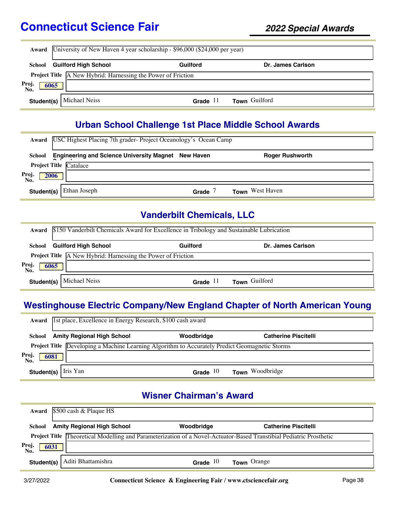|                                   | Award University of New Haven 4 year scholarship - \$96,000 (\$24,000 per year) |            |                   |  |
|-----------------------------------|---------------------------------------------------------------------------------|------------|-------------------|--|
| School                            | <b>Guilford High School</b>                                                     | Guilford   | Dr. James Carlson |  |
|                                   | <b>Project Title</b> A New Hybrid: Harnessing the Power of Friction             |            |                   |  |
| Proj.<br>No.<br>$\overline{6065}$ |                                                                                 |            |                   |  |
|                                   | <b>Student(s)</b> Michael Neiss                                                 | Grade $11$ | Town Guilford     |  |

#### **Urban School Challenge 1st Place Middle School Awards**

|                      | Award   USC Highest Placing 7th grader-Project Oceanology's Ocean Camp |       |                        |  |  |
|----------------------|------------------------------------------------------------------------|-------|------------------------|--|--|
| School               | <b>Engineering and Science University Magnet New Haven</b>             |       | <b>Roger Rushworth</b> |  |  |
|                      | <b>Project Title Catalace</b>                                          |       |                        |  |  |
| Proj.<br>No.<br>2006 |                                                                        |       |                        |  |  |
| Student(s)           | Ethan Joseph                                                           | Grade | <b>Town</b> West Haven |  |  |

## **Vanderbilt Chemicals, LLC**

|                     | <b>Award</b> \$150 Vanderbilt Chemicals Award for Excellence in Tribology and Sustainable Lubrication |            |                   |  |
|---------------------|-------------------------------------------------------------------------------------------------------|------------|-------------------|--|
| School              | <b>Guilford High School</b>                                                                           | Guilford   | Dr. James Carlson |  |
|                     | Project Title A New Hybrid: Harnessing the Power of Friction                                          |            |                   |  |
| Proj<br>No.<br>6065 |                                                                                                       |            |                   |  |
|                     | <b>Student(s)</b> Michael Neiss                                                                       | Grade $11$ | Town Guilford     |  |

#### **Westinghouse Electric Company/New England Chapter of North American Young**

| Award                | 1st place, Excellence in Energy Research, \$100 cash award                                            |            |                             |  |
|----------------------|-------------------------------------------------------------------------------------------------------|------------|-----------------------------|--|
| School               | <b>Amity Regional High School</b>                                                                     | Woodbridge | <b>Catherine Piscitelli</b> |  |
|                      | <b>Project Title</b> Developing a Machine Learning Algorithm to Accurately Predict Geomagnetic Storms |            |                             |  |
| Proj.<br>No.<br>6081 |                                                                                                       |            |                             |  |
| Student(s)           | Hris Yan                                                                                              | Grade $10$ | Town Woodbridge             |  |

## **Wisner Chairman's Award**

| Award                | \$500 cash & Plaque HS                                                                                                     |            |                             |  |
|----------------------|----------------------------------------------------------------------------------------------------------------------------|------------|-----------------------------|--|
| School               | <b>Amity Regional High School</b>                                                                                          | Woodbridge | <b>Catherine Piscitelli</b> |  |
|                      | <b>Project Title Theoretical Modelling and Parameterization of a Novel-Actuator-Based Transtibial Pediatric Prosthetic</b> |            |                             |  |
| Proj.<br>No.<br>6031 |                                                                                                                            |            |                             |  |
|                      | Student(s)   Aditi Bhattamishra                                                                                            | Grade $10$ | <b>Town</b> Orange          |  |